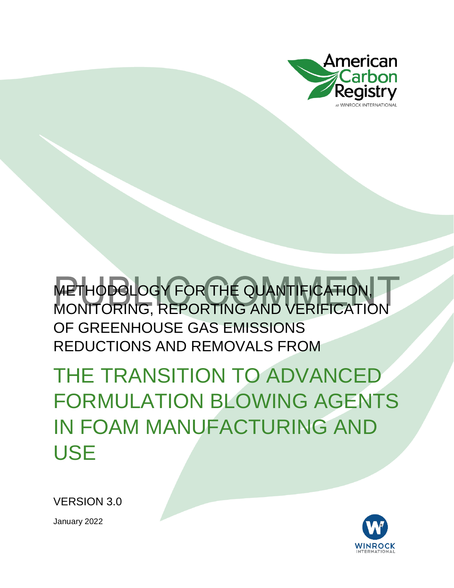

THE TRANSITION TO ADVANCED FORMULATION BLOWING AGENTS IN FOAM MANUFACTURING AND USE

VERSION 3.0

January 2022

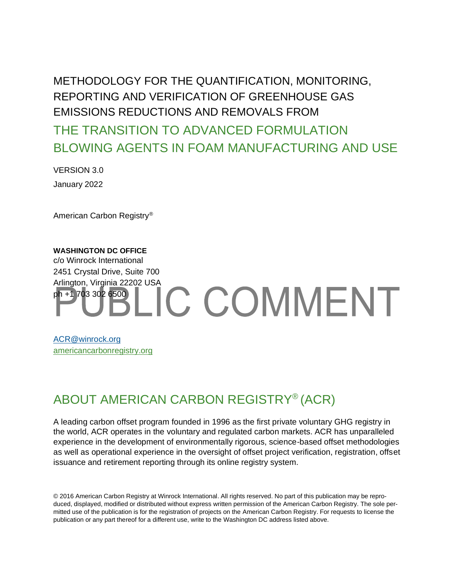THE TRANSITION TO ADVANCED FORMULATION BLOWING AGENTS IN FOAM MANUFACTURING AND USE

VERSION 3.0 January 2022

American Carbon Registry®

#### **WASHINGTON DC OFFICE** c/o Winrock International 2451 Crystal Drive, Suite 700 Arlington, Virginia 22202 USA<br>ph +1 703 302 6509 LIC COMMENT ph +1 703 302 6500

[ACR@winrock.org](mailto:ACR@winrock.org) [americancarbonregistry.org](http://americancarbonregistry.org/)

#### ABOUT AMERICAN CARBON REGISTRY® (ACR)

A leading carbon offset program founded in 1996 as the first private voluntary GHG registry in the world, ACR operates in the voluntary and regulated carbon markets. ACR has unparalleled experience in the development of environmentally rigorous, science-based offset methodologies as well as operational experience in the oversight of offset project verification, registration, offset issuance and retirement reporting through its online registry system.

© 2016 American Carbon Registry at Winrock International. All rights reserved. No part of this publication may be reproduced, displayed, modified or distributed without express written permission of the American Carbon Registry. The sole permitted use of the publication is for the registration of projects on the American Carbon Registry. For requests to license the publication or any part thereof for a different use, write to the Washington DC address listed above.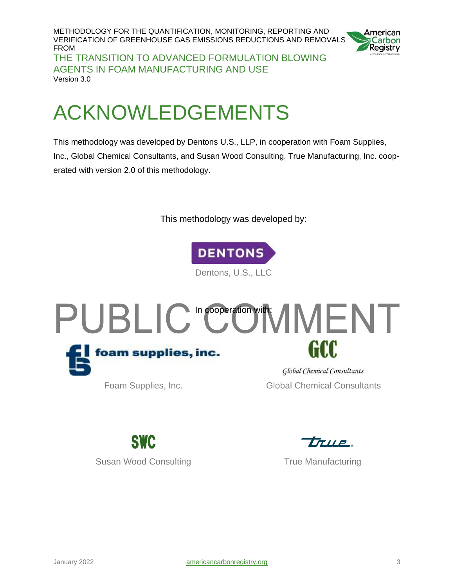METHODOLOGY FOR THE QUANTIFICATION, MONITORING, REPORTING AND VERIFICATION OF GREENHOUSE GAS EMISSIONS REDUCTIONS AND REMOVALS FROM THE TRANSITION TO ADVANCED FORMULATION BLOWING AGENTS IN FOAM MANUFACTURING AND USE Version 3.0



## <span id="page-2-0"></span>ACKNOWLEDGEMENTS

This methodology was developed by Dentons U.S., LLP, in cooperation with Foam Supplies, Inc., Global Chemical Consultants, and Susan Wood Consulting. True Manufacturing, Inc. cooperated with version 2.0 of this methodology.

This methodology was developed by:



Dentons, U.S., LLC



Foam Supplies, Inc. **Example 20 Global Chemical Consultants** 



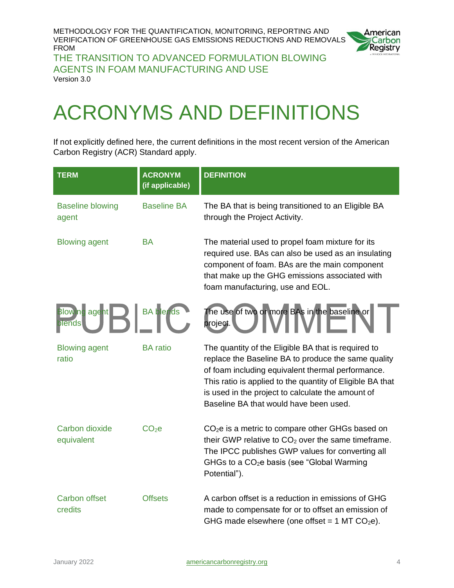

THE TRANSITION TO ADVANCED FORMULATION BLOWING AGENTS IN FOAM MANUFACTURING AND USE Version 3.0

# <span id="page-3-0"></span>ACRONYMS AND DEFINITIONS

If not explicitly defined here, the current definitions in the most recent version of the American Carbon Registry (ACR) Standard apply.

| <b>TERM</b>                      | <b>ACRONYM</b><br>(if applicable) | <b>DEFINITION</b>                                                                                                                                                                                                                                                                                                           |
|----------------------------------|-----------------------------------|-----------------------------------------------------------------------------------------------------------------------------------------------------------------------------------------------------------------------------------------------------------------------------------------------------------------------------|
| <b>Baseline blowing</b><br>agent | <b>Baseline BA</b>                | The BA that is being transitioned to an Eligible BA<br>through the Project Activity.                                                                                                                                                                                                                                        |
| <b>Blowing agent</b>             | <b>BA</b>                         | The material used to propel foam mixture for its<br>required use. BAs can also be used as an insulating<br>component of foam. BAs are the main component<br>that make up the GHG emissions associated with<br>foam manufacturing, use and EOL.                                                                              |
| <b>Blowing agent</b><br>lends    | <b>BA</b> blends                  | The use of two or more BAs in the baseline or<br>project.                                                                                                                                                                                                                                                                   |
| <b>Blowing agent</b><br>ratio    | <b>BA</b> ratio                   | The quantity of the Eligible BA that is required to<br>replace the Baseline BA to produce the same quality<br>of foam including equivalent thermal performance.<br>This ratio is applied to the quantity of Eligible BA that<br>is used in the project to calculate the amount of<br>Baseline BA that would have been used. |
| Carbon dioxide<br>equivalent     | CO <sub>2</sub> e                 | $CO2e$ is a metric to compare other GHGs based on<br>their GWP relative to $CO2$ over the same timeframe.<br>The IPCC publishes GWP values for converting all<br>GHGs to a $CO2e$ basis (see "Global Warming<br>Potential").                                                                                                |
| <b>Carbon offset</b><br>credits  | <b>Offsets</b>                    | A carbon offset is a reduction in emissions of GHG<br>made to compensate for or to offset an emission of<br>GHG made elsewhere (one offset = $1$ MT CO <sub>2</sub> e).                                                                                                                                                     |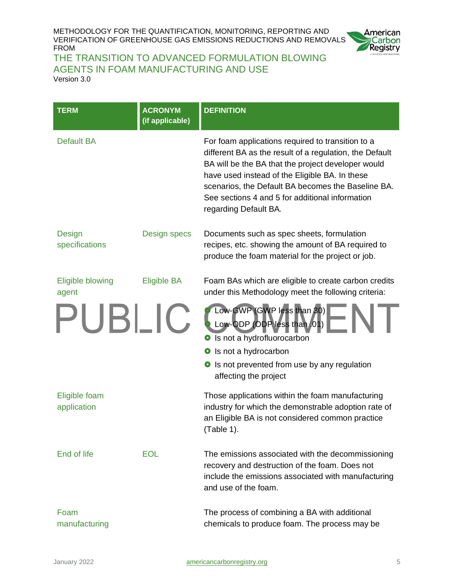

#### THE TRANSITION TO ADVANCED FORMULATION BLOWING AGENTS IN FOAM MANUFACTURING AND USE

| Version 3.0 |  |
|-------------|--|
|-------------|--|

| <b>TERM</b>                      | <b>ACRONYM</b><br>(if applicable) | <b>DEFINITION</b>                                                                                                                                                                                                                                                                                                                                      |
|----------------------------------|-----------------------------------|--------------------------------------------------------------------------------------------------------------------------------------------------------------------------------------------------------------------------------------------------------------------------------------------------------------------------------------------------------|
| <b>Default BA</b>                |                                   | For foam applications required to transition to a<br>different BA as the result of a regulation, the Default<br>BA will be the BA that the project developer would<br>have used instead of the Eligible BA. In these<br>scenarios, the Default BA becomes the Baseline BA.<br>See sections 4 and 5 for additional information<br>regarding Default BA. |
| <b>Design</b><br>specifications  | Design specs                      | Documents such as spec sheets, formulation<br>recipes, etc. showing the amount of BA required to<br>produce the foam material for the project or job.                                                                                                                                                                                                  |
| <b>Eligible blowing</b><br>agent | <b>Eligible BA</b>                | Foam BAs which are eligible to create carbon credits<br>under this Methodology meet the following criteria:                                                                                                                                                                                                                                            |
| PUBLIC                           |                                   | Low-GWP (GWP less than 30)<br>Low-ODP (ODP less than 01)<br>Is not a hydrofluorocarbon<br>$\bullet$<br>Is not a hydrocarbon<br>О                                                                                                                                                                                                                       |
|                                  |                                   | Is not prevented from use by any regulation<br>$\bullet$<br>affecting the project                                                                                                                                                                                                                                                                      |
| Eligible foam<br>application     |                                   | Those applications within the foam manufacturing<br>industry for which the demonstrable adoption rate of<br>an Eligible BA is not considered common practice<br>(Table 1).                                                                                                                                                                             |
| End of life                      | <b>EOL</b>                        | The emissions associated with the decommissioning<br>recovery and destruction of the foam. Does not<br>include the emissions associated with manufacturing<br>and use of the foam.                                                                                                                                                                     |
| Foam<br>manufacturing            |                                   | The process of combining a BA with additional<br>chemicals to produce foam. The process may be                                                                                                                                                                                                                                                         |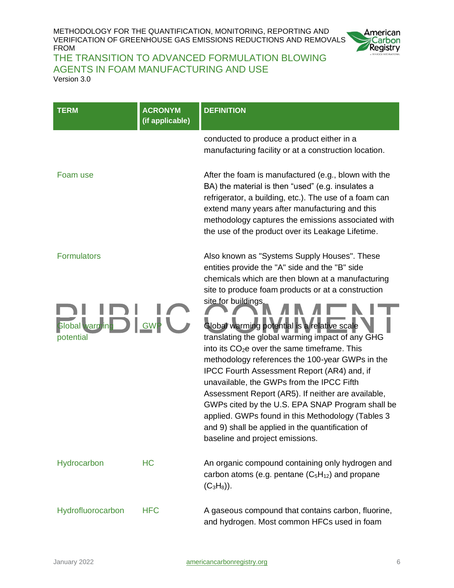

#### THE TRANSITION TO ADVANCED FORMULATION BLOWING AGENTS IN FOAM MANUFACTURING AND USE Version 3.0

| <b>TERM</b>                 | <b>ACRONYM</b><br>(if applicable) | <b>DEFINITION</b>                                                                                                                                                                                                                                                                                                                                                                                                                                                                                                                                                                        |
|-----------------------------|-----------------------------------|------------------------------------------------------------------------------------------------------------------------------------------------------------------------------------------------------------------------------------------------------------------------------------------------------------------------------------------------------------------------------------------------------------------------------------------------------------------------------------------------------------------------------------------------------------------------------------------|
|                             |                                   | conducted to produce a product either in a<br>manufacturing facility or at a construction location.                                                                                                                                                                                                                                                                                                                                                                                                                                                                                      |
| Foam use                    |                                   | After the foam is manufactured (e.g., blown with the<br>BA) the material is then "used" (e.g. insulates a<br>refrigerator, a building, etc.). The use of a foam can<br>extend many years after manufacturing and this<br>methodology captures the emissions associated with<br>the use of the product over its Leakage Lifetime.                                                                                                                                                                                                                                                         |
| <b>Formulators</b>          |                                   | Also known as "Systems Supply Houses". These<br>entities provide the "A" side and the "B" side<br>chemicals which are then blown at a manufacturing<br>site to produce foam products or at a construction                                                                                                                                                                                                                                                                                                                                                                                |
| Global warming<br>potential | GW                                | site for buildings,<br>Global warming potential is a relative scale<br>translating the global warming impact of any GHG<br>into its CO <sub>2</sub> e over the same timeframe. This<br>methodology references the 100-year GWPs in the<br>IPCC Fourth Assessment Report (AR4) and, if<br>unavailable, the GWPs from the IPCC Fifth<br>Assessment Report (AR5). If neither are available,<br>GWPs cited by the U.S. EPA SNAP Program shall be<br>applied. GWPs found in this Methodology (Tables 3<br>and 9) shall be applied in the quantification of<br>baseline and project emissions. |
| Hydrocarbon                 | <b>HC</b>                         | An organic compound containing only hydrogen and<br>carbon atoms (e.g. pentane $(C_5H_{12})$ and propane<br>$(C_3H_8)$ ).                                                                                                                                                                                                                                                                                                                                                                                                                                                                |
| Hydrofluorocarbon           | <b>HFC</b>                        | A gaseous compound that contains carbon, fluorine,<br>and hydrogen. Most common HFCs used in foam                                                                                                                                                                                                                                                                                                                                                                                                                                                                                        |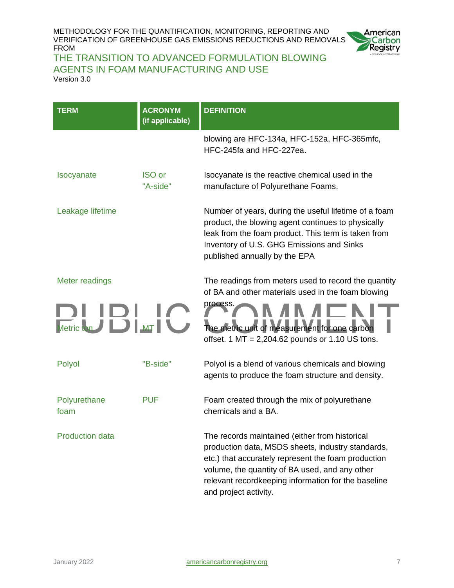

#### THE TRANSITION TO ADVANCED FORMULATION BLOWING AGENTS IN FOAM MANUFACTURING AND USE

Version 3.0

| <b>TERM</b>            | <b>ACRONYM</b><br>(if applicable) | <b>DEFINITION</b>                                                                                                                                                                                                                                                                            |  |  |
|------------------------|-----------------------------------|----------------------------------------------------------------------------------------------------------------------------------------------------------------------------------------------------------------------------------------------------------------------------------------------|--|--|
|                        |                                   | blowing are HFC-134a, HFC-152a, HFC-365mfc,<br>HFC-245fa and HFC-227ea.                                                                                                                                                                                                                      |  |  |
| <b>Isocyanate</b>      | <b>ISO</b> or<br>"A-side"         | Isocyanate is the reactive chemical used in the<br>manufacture of Polyurethane Foams.                                                                                                                                                                                                        |  |  |
| Leakage lifetime       |                                   | Number of years, during the useful lifetime of a foam<br>product, the blowing agent continues to physically<br>leak from the foam product. This term is taken from<br>Inventory of U.S. GHG Emissions and Sinks<br>published annually by the EPA                                             |  |  |
| Meter readings         |                                   | The readings from meters used to record the quantity<br>of BA and other materials used in the foam blowing                                                                                                                                                                                   |  |  |
| $\Box$<br>Metric ton   |                                   | process.<br>The metric unit of measurement for one carbon<br>offset. $1 \text{ MT} = 2,204.62 \text{ pounds or } 1.10 \text{ US tons.}$                                                                                                                                                      |  |  |
| Polyol                 | "B-side"                          | Polyol is a blend of various chemicals and blowing<br>agents to produce the foam structure and density.                                                                                                                                                                                      |  |  |
| Polyurethane<br>foam   | <b>PUF</b>                        | Foam created through the mix of polyurethane<br>chemicals and a BA.                                                                                                                                                                                                                          |  |  |
| <b>Production data</b> |                                   | The records maintained (either from historical<br>production data, MSDS sheets, industry standards,<br>etc.) that accurately represent the foam production<br>volume, the quantity of BA used, and any other<br>relevant recordkeeping information for the baseline<br>and project activity. |  |  |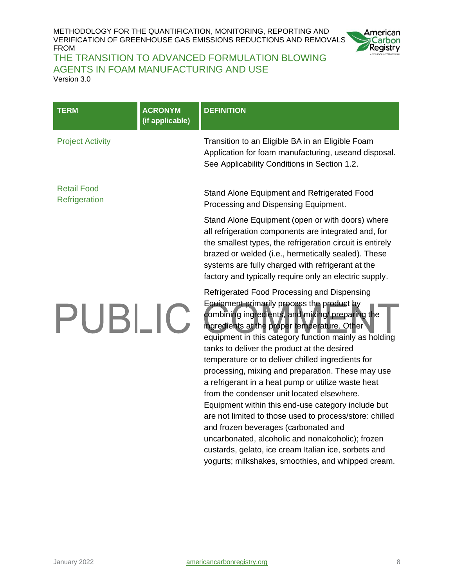

#### THE TRANSITION TO ADVANCED FORMULATION BLOWING AGENTS IN FOAM MANUFACTURING AND USE Version 3.0

**TERM ACRONYM DEFINITION (if applicable)** Project Activity Transition to an Eligible BA in an Eligible Foam Application for foam manufacturing, useand disposal. See Applicability Conditions in Section 1.2. Retail Food Stand Alone Equipment and Refrigerated Food **Refrigeration** Processing and Dispensing Equipment. Stand Alone Equipment (open or with doors) where all refrigeration components are integrated and, for the smallest types, the refrigeration circuit is entirely brazed or welded (i.e., hermetically sealed). These systems are fully charged with refrigerant at the factory and typically require only an electric supply. Refrigerated Food Processing and Dispensing Equipment primarily process the product by PUBLIC. combining ingredients, and mixing/ preparing the ingredients at the proper temperature. Other equipment in this category function mainly as holding tanks to deliver the product at the desired temperature or to deliver chilled ingredients for processing, mixing and preparation. These may use a refrigerant in a heat pump or utilize waste heat from the condenser unit located elsewhere. Equipment within this end-use category include but are not limited to those used to process/store: chilled and frozen beverages (carbonated and uncarbonated, alcoholic and nonalcoholic); frozen custards, gelato, ice cream Italian ice, sorbets and

yogurts; milkshakes, smoothies, and whipped cream.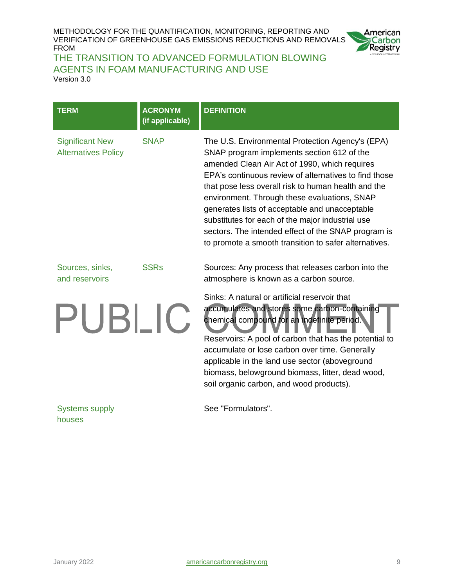

#### THE TRANSITION TO ADVANCED FORMULATION BLOWING AGENTS IN FOAM MANUFACTURING AND USE

Version 3.0

| <b>TERM</b>                                          | <b>ACRONYM</b><br>(if applicable) | <b>DEFINITION</b>                                                                                                                                                                                                                                                                                                                                                                                                                                                                                                                     |
|------------------------------------------------------|-----------------------------------|---------------------------------------------------------------------------------------------------------------------------------------------------------------------------------------------------------------------------------------------------------------------------------------------------------------------------------------------------------------------------------------------------------------------------------------------------------------------------------------------------------------------------------------|
| <b>Significant New</b><br><b>Alternatives Policy</b> | <b>SNAP</b>                       | The U.S. Environmental Protection Agency's (EPA)<br>SNAP program implements section 612 of the<br>amended Clean Air Act of 1990, which requires<br>EPA's continuous review of alternatives to find those<br>that pose less overall risk to human health and the<br>environment. Through these evaluations, SNAP<br>generates lists of acceptable and unacceptable<br>substitutes for each of the major industrial use<br>sectors. The intended effect of the SNAP program is<br>to promote a smooth transition to safer alternatives. |
| Sources, sinks,<br>and reservoirs                    | <b>SSRs</b>                       | Sources: Any process that releases carbon into the<br>atmosphere is known as a carbon source.                                                                                                                                                                                                                                                                                                                                                                                                                                         |
| PUBLIC                                               |                                   | Sinks: A natural or artificial reservoir that<br>accumulates and stores some carbon-containing<br>chemical compound for an indefinite period.<br>Reservoirs: A pool of carbon that has the potential to<br>accumulate or lose carbon over time. Generally<br>applicable in the land use sector (aboveground<br>biomass, belowground biomass, litter, dead wood,<br>soil organic carbon, and wood products).                                                                                                                           |
| <b>Systems supply</b><br>houses                      |                                   | See "Formulators".                                                                                                                                                                                                                                                                                                                                                                                                                                                                                                                    |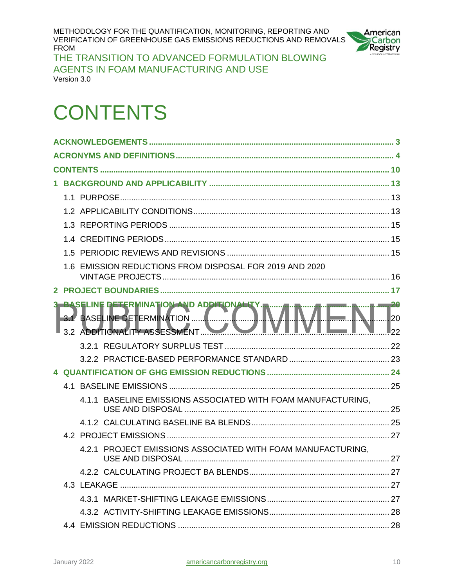

THE TRANSITION TO ADVANCED FORMULATION BLOWING AGENTS IN FOAM MANUFACTURING AND USE Version 3.0

## <span id="page-9-0"></span>**CONTENTS**

|  | 1.6 EMISSION REDUCTIONS FROM DISPOSAL FOR 2019 AND 2020                                                      |    |
|--|--------------------------------------------------------------------------------------------------------------|----|
|  |                                                                                                              |    |
|  |                                                                                                              |    |
|  | <b>ASELINE DETERMINATION AND ADDITIONALITY</b><br>3. BASELINE DETERMINATION<br>3.2 ADDITIONALITY ASSESSMENT. | 20 |
|  |                                                                                                              |    |
|  |                                                                                                              |    |
|  |                                                                                                              |    |
|  |                                                                                                              |    |
|  | 4.1.1 BASELINE EMISSIONS ASSOCIATED WITH FOAM MANUFACTURING,                                                 |    |
|  |                                                                                                              |    |
|  |                                                                                                              |    |
|  | 4.2.1 PROJECT EMISSIONS ASSOCIATED WITH FOAM MANUFACTURING.                                                  |    |
|  |                                                                                                              |    |
|  |                                                                                                              |    |
|  |                                                                                                              |    |
|  |                                                                                                              |    |
|  |                                                                                                              |    |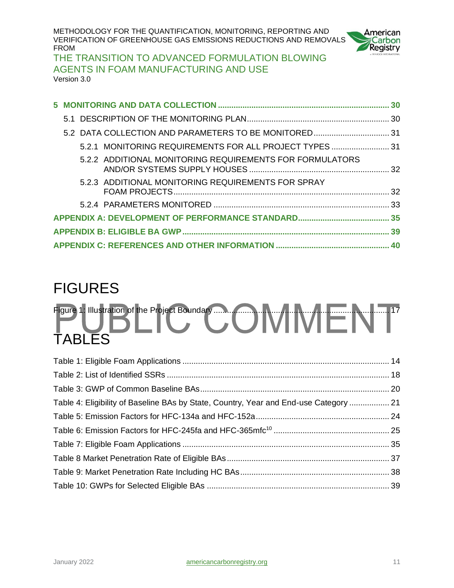

THE TRANSITION TO ADVANCED FORMULATION BLOWING AGENTS IN FOAM MANUFACTURING AND USE Version 3.0

|  | 5.2.1 MONITORING REQUIREMENTS FOR ALL PROJECT TYPES  31  |  |
|--|----------------------------------------------------------|--|
|  | 5.2.2 ADDITIONAL MONITORING REQUIREMENTS FOR FORMULATORS |  |
|  | 5.2.3 ADDITIONAL MONITORING REQUIREMENTS FOR SPRAY       |  |
|  |                                                          |  |
|  |                                                          |  |
|  |                                                          |  |
|  |                                                          |  |

## FIGURES

## Figure 1: Illustration of the Project Boundary [...............................................................................](#page-16-1) 17 TABLES

| Table 4: Eligibility of Baseline BAs by State, Country, Year and End-use Category  21 |  |
|---------------------------------------------------------------------------------------|--|
|                                                                                       |  |
|                                                                                       |  |
|                                                                                       |  |
|                                                                                       |  |
|                                                                                       |  |
|                                                                                       |  |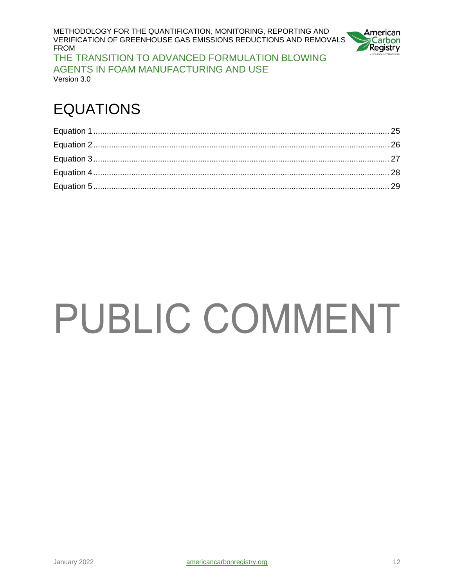METHODOLOGY FOR THE QUANTIFICATION, MONITORING, REPORTING AND VERIFICATION OF GREENHOUSE GAS EMISSIONS REDUCTIONS AND REMOVALS FROM THE TRANSITION TO ADVANCED FORMULATION BLOWING AGENTS IN FOAM MANUFACTURING AND USE



Version 3.0

## EQUATIONS

# **PUBLIC COMMENT**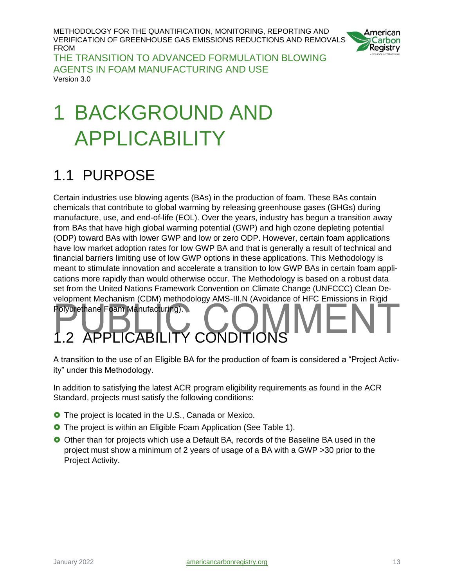

THE TRANSITION TO ADVANCED FORMULATION BLOWING AGENTS IN FOAM MANUFACTURING AND USE Version 3.0

# <span id="page-12-0"></span>1 BACKGROUND AND APPLICABILITY

## <span id="page-12-1"></span>1.1 PURPOSE

Certain industries use blowing agents (BAs) in the production of foam. These BAs contain chemicals that contribute to global warming by releasing greenhouse gases (GHGs) during manufacture, use, and end-of-life (EOL). Over the years, industry has begun a transition away from BAs that have high global warming potential (GWP) and high ozone depleting potential (ODP) toward BAs with lower GWP and low or zero ODP. However, certain foam applications have low market adoption rates for low GWP BA and that is generally a result of technical and financial barriers limiting use of low GWP options in these applications. This Methodology is meant to stimulate innovation and accelerate a transition to low GWP BAs in certain foam applications more rapidly than would otherwise occur. The Methodology is based on a robust data set from the United Nations Framework Convention on Climate Change (UNFCCC) Clean Development Mechanism (CDM) methodology AMS-III.N (Avoidance of HFC Emissions in Rigid Polyurethane Foam Manufacturing).

# <span id="page-12-2"></span>APPLICABILITY COND

A transition to the use of an Eligible BA for the production of foam is considered a "Project Activity" under this Methodology.

In addition to satisfying the latest ACR program eligibility requirements as found in the ACR Standard, projects must satisfy the following conditions:

- **O** The project is located in the U.S., Canada or Mexico.
- **O** The project is within an Eligible Foam Application (See Table 1).
- O Other than for projects which use a Default BA, records of the Baseline BA used in the project must show a minimum of 2 years of usage of a BA with a GWP >30 prior to the Project Activity.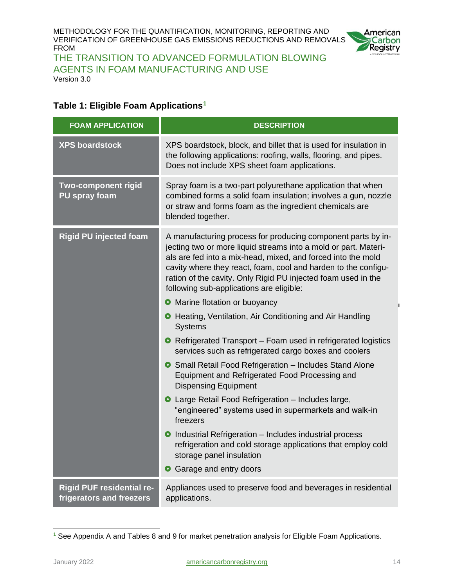

THE TRANSITION TO ADVANCED FORMULATION BLOWING AGENTS IN FOAM MANUFACTURING AND USE Version 3.0

#### <span id="page-13-0"></span>**Table 1: Eligible Foam Applications<sup>1</sup>**

| <b>FOAM APPLICATION</b>                                      | <b>DESCRIPTION</b>                                                                                                                                                                                                                                                                                                                                                             |  |
|--------------------------------------------------------------|--------------------------------------------------------------------------------------------------------------------------------------------------------------------------------------------------------------------------------------------------------------------------------------------------------------------------------------------------------------------------------|--|
| <b>XPS boardstock</b>                                        | XPS boardstock, block, and billet that is used for insulation in<br>the following applications: roofing, walls, flooring, and pipes.<br>Does not include XPS sheet foam applications.                                                                                                                                                                                          |  |
| <b>Two-component rigid</b><br>PU spray foam                  | Spray foam is a two-part polyurethane application that when<br>combined forms a solid foam insulation; involves a gun, nozzle<br>or straw and forms foam as the ingredient chemicals are<br>blended together.                                                                                                                                                                  |  |
| <b>Rigid PU injected foam</b>                                | A manufacturing process for producing component parts by in-<br>jecting two or more liquid streams into a mold or part. Materi-<br>als are fed into a mix-head, mixed, and forced into the mold<br>cavity where they react, foam, cool and harden to the configu-<br>ration of the cavity. Only Rigid PU injected foam used in the<br>following sub-applications are eligible: |  |
|                                                              | • Marine flotation or buoyancy                                                                                                                                                                                                                                                                                                                                                 |  |
|                                                              | <b>O</b> Heating, Ventilation, Air Conditioning and Air Handling<br><b>Systems</b>                                                                                                                                                                                                                                                                                             |  |
|                                                              | • Refrigerated Transport – Foam used in refrigerated logistics<br>services such as refrigerated cargo boxes and coolers                                                                                                                                                                                                                                                        |  |
|                                                              | <b>O</b> Small Retail Food Refrigeration - Includes Stand Alone<br>Equipment and Refrigerated Food Processing and<br><b>Dispensing Equipment</b>                                                                                                                                                                                                                               |  |
|                                                              | <b>O</b> Large Retail Food Refrigeration - Includes large,<br>"engineered" systems used in supermarkets and walk-in<br>freezers                                                                                                                                                                                                                                                |  |
|                                                              | O Industrial Refrigeration - Includes industrial process<br>refrigeration and cold storage applications that employ cold<br>storage panel insulation                                                                                                                                                                                                                           |  |
|                                                              | Garage and entry doors<br>$\bullet$                                                                                                                                                                                                                                                                                                                                            |  |
| <b>Rigid PUF residential re-</b><br>frigerators and freezers | Appliances used to preserve food and beverages in residential<br>applications.                                                                                                                                                                                                                                                                                                 |  |

**<sup>1</sup>** See Appendix A and Tables 8 and 9 for market penetration analysis for Eligible Foam Applications.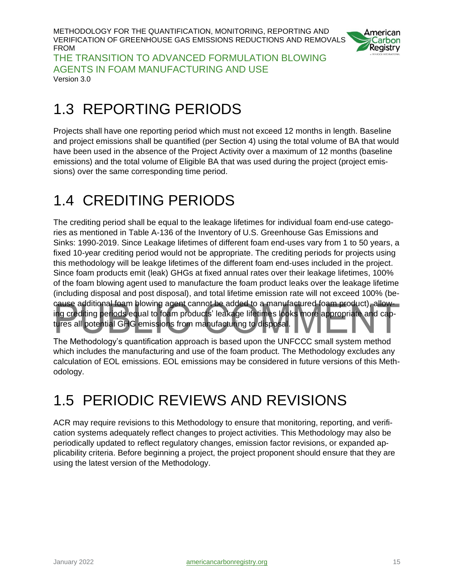

THE TRANSITION TO ADVANCED FORMULATION BLOWING AGENTS IN FOAM MANUFACTURING AND USE Version 3.0

## <span id="page-14-0"></span>1.3 REPORTING PERIODS

Projects shall have one reporting period which must not exceed 12 months in length. Baseline and project emissions shall be quantified (per Section 4) using the total volume of BA that would have been used in the absence of the Project Activity over a maximum of 12 months (baseline emissions) and the total volume of Eligible BA that was used during the project (project emissions) over the same corresponding time period.

## <span id="page-14-1"></span>1.4 CREDITING PERIODS

The crediting period shall be equal to the leakage lifetimes for individual foam end-use categories as mentioned in Table A-136 of the Inventory of U.S. Greenhouse Gas Emissions and Sinks: 1990-2019. Since Leakage lifetimes of different foam end-uses vary from 1 to 50 years, a fixed 10-year crediting period would not be appropriate. The crediting periods for projects using this methodology will be leakge lifetimes of the different foam end-uses included in the project. Since foam products emit (leak) GHGs at fixed annual rates over their leakage lifetimes, 100% of the foam blowing agent used to manufacture the foam product leaks over the leakage lifetime (including disposal and post disposal), and total lifetime emission rate will not exceed 100% (because additional foam blowing agent cannot be added to a manufactured foam product), allowing crediting periods equal to foam products' leakage lifetimes looks more appropriate and captures all potential GHG emissions from manufacturing to disposal.

The Methodology's quantification approach is based upon the UNFCCC small system method which includes the manufacturing and use of the foam product. The Methodology excludes any calculation of EOL emissions. EOL emissions may be considered in future versions of this Methodology.

## <span id="page-14-2"></span>1.5 PERIODIC REVIEWS AND REVISIONS

ACR may require revisions to this Methodology to ensure that monitoring, reporting, and verification systems adequately reflect changes to project activities. This Methodology may also be periodically updated to reflect regulatory changes, emission factor revisions, or expanded applicability criteria. Before beginning a project, the project proponent should ensure that they are using the latest version of the Methodology.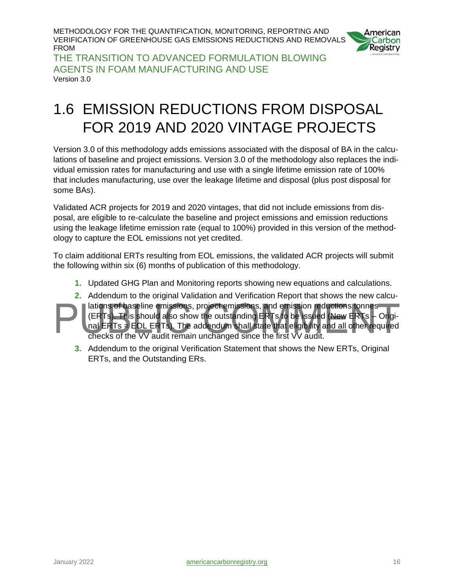

THE TRANSITION TO ADVANCED FORMULATION BLOWING AGENTS IN FOAM MANUFACTURING AND USE Version 3.0

## <span id="page-15-0"></span>1.6 EMISSION REDUCTIONS FROM DISPOSAL FOR 2019 AND 2020 VINTAGE PROJECTS

Version 3.0 of this methodology adds emissions associated with the disposal of BA in the calculations of baseline and project emissions. Version 3.0 of the methodology also replaces the individual emission rates for manufacturing and use with a single lifetime emission rate of 100% that includes manufacturing, use over the leakage lifetime and disposal (plus post disposal for some BAs).

Validated ACR projects for 2019 and 2020 vintages, that did not include emissions from disposal, are eligible to re-calculate the baseline and project emissions and emission reductions using the leakage lifetime emission rate (equal to 100%) provided in this version of the methodology to capture the EOL emissions not yet credited.

To claim additional ERTs resulting from EOL emissions, the validated ACR projects will submit the following within six (6) months of publication of this methodology.

- **1.** Updated GHG Plan and Monitoring reports showing new equations and calculations.
- **2.** Addendum to the original Validation and Verification Report that shows the new calculations of baseline emissions, project emissions, and emission reductions tonnes (ERTs). This should also show the outstanding ERTs to be issued (New ERTs – Original  $ERTs = EOL ERTs$ ). The addendum shall state that eligibility and all other required checks of the VV audit remain unchanged since the first VV audit.
	- **3.** Addendum to the original Verification Statement that shows the New ERTs, Original ERTs, and the Outstanding ERs.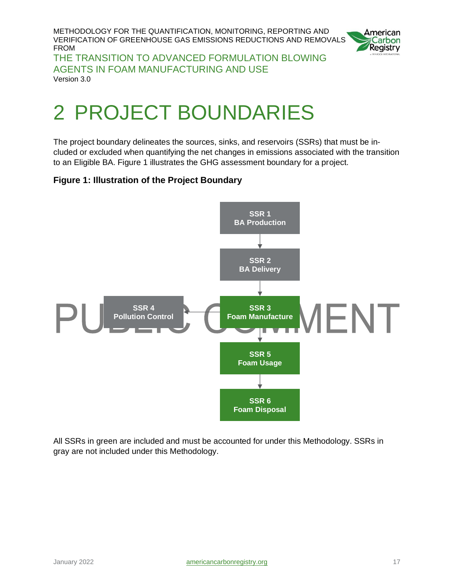

THE TRANSITION TO ADVANCED FORMULATION BLOWING AGENTS IN FOAM MANUFACTURING AND USE Version 3.0

# <span id="page-16-0"></span>2 PROJECT BOUNDARIES

The project boundary delineates the sources, sinks, and reservoirs (SSRs) that must be included or excluded when quantifying the net changes in emissions associated with the transition to an Eligible BA. Figure 1 illustrates the GHG assessment boundary for a project.

#### <span id="page-16-1"></span>**Figure 1: Illustration of the Project Boundary**



All SSRs in green are included and must be accounted for under this Methodology. SSRs in gray are not included under this Methodology.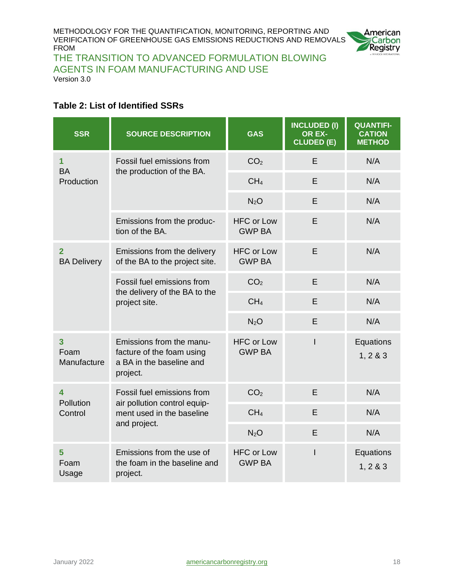

THE TRANSITION TO ADVANCED FORMULATION BLOWING AGENTS IN FOAM MANUFACTURING AND USE Version 3.0

#### <span id="page-17-0"></span>**Table 2: List of Identified SSRs**

| <b>SSR</b>                         | <b>SOURCE DESCRIPTION</b>                                                                     | <b>GAS</b>                         | <b>INCLUDED (I)</b><br>OR EX-<br><b>CLUDED (E)</b> | <b>QUANTIFI-</b><br><b>CATION</b><br><b>METHOD</b> |
|------------------------------------|-----------------------------------------------------------------------------------------------|------------------------------------|----------------------------------------------------|----------------------------------------------------|
| 1<br><b>BA</b>                     | Fossil fuel emissions from<br>the production of the BA.                                       | CO <sub>2</sub>                    | E                                                  | N/A                                                |
| Production                         |                                                                                               | CH <sub>4</sub>                    | E                                                  | N/A                                                |
|                                    |                                                                                               | N <sub>2</sub> O                   | E                                                  | N/A                                                |
|                                    | Emissions from the produc-<br>tion of the BA.                                                 | <b>HFC or Low</b><br><b>GWP BA</b> | E                                                  | N/A                                                |
| $\mathbf{2}$<br><b>BA Delivery</b> | Emissions from the delivery<br>of the BA to the project site.                                 | <b>HFC or Low</b><br><b>GWP BA</b> | E                                                  | N/A                                                |
|                                    | Fossil fuel emissions from<br>the delivery of the BA to the<br>project site.                  | CO <sub>2</sub>                    | E                                                  | N/A                                                |
|                                    |                                                                                               | CH <sub>4</sub>                    | E                                                  | N/A                                                |
|                                    |                                                                                               | N <sub>2</sub> O                   | E                                                  | N/A                                                |
| 3<br>Foam<br>Manufacture           | Emissions from the manu-<br>facture of the foam using<br>a BA in the baseline and<br>project. | <b>HFC or Low</b><br><b>GWP BA</b> | I                                                  | Equations<br>1, 2 & 3                              |
| 4<br>Pollution                     | Fossil fuel emissions from                                                                    | CO <sub>2</sub>                    | E                                                  | N/A                                                |
| Control                            | air pollution control equip-<br>ment used in the baseline                                     | CH <sub>4</sub>                    | E                                                  | N/A                                                |
|                                    | and project.                                                                                  | N <sub>2</sub> O                   | E                                                  | N/A                                                |
| 5<br>Foam<br>Usage                 | Emissions from the use of<br>the foam in the baseline and<br>project.                         | <b>HFC or Low</b><br><b>GWP BA</b> | $\mathsf{I}$                                       | Equations<br>1, 283                                |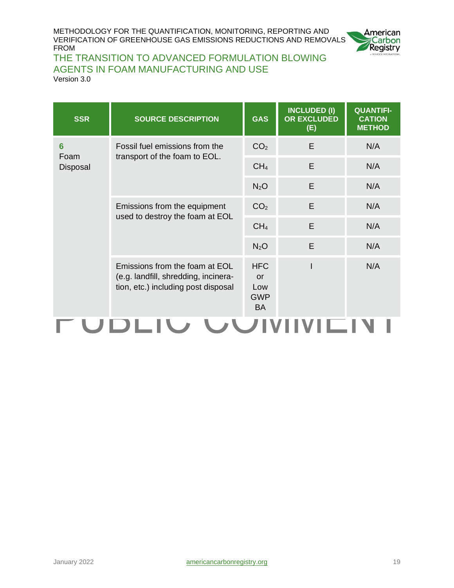

#### THE TRANSITION TO ADVANCED FORMULATION BLOWING AGENTS IN FOAM MANUFACTURING AND USE

Version 3.0

| <b>SOURCE DESCRIPTION</b>                                                                                     | <b>GAS</b>                                         | <b>INCLUDED (I)</b><br><b>OR EXCLUDED</b><br>(E) | <b>QUANTIFI-</b><br><b>CATION</b><br><b>METHOD</b> |
|---------------------------------------------------------------------------------------------------------------|----------------------------------------------------|--------------------------------------------------|----------------------------------------------------|
| Fossil fuel emissions from the<br>transport of the foam to EOL.                                               | CO <sub>2</sub>                                    | E                                                | N/A                                                |
|                                                                                                               | CH <sub>4</sub>                                    | E                                                | N/A                                                |
|                                                                                                               | N <sub>2</sub> O                                   | E                                                | N/A                                                |
| Emissions from the equipment<br>used to destroy the foam at EOL                                               | CO <sub>2</sub>                                    | E                                                | N/A                                                |
|                                                                                                               | CH <sub>4</sub>                                    | E                                                | N/A                                                |
|                                                                                                               | $N_2O$                                             | E                                                | N/A                                                |
| Emissions from the foam at EOL<br>(e.g. landfill, shredding, incinera-<br>tion, etc.) including post disposal | <b>HFC</b><br>or<br>Low<br><b>GWP</b><br><b>BA</b> |                                                  | N/A                                                |
|                                                                                                               |                                                    |                                                  |                                                    |

#### H. JDLIV VVIVIIVILIN I ◥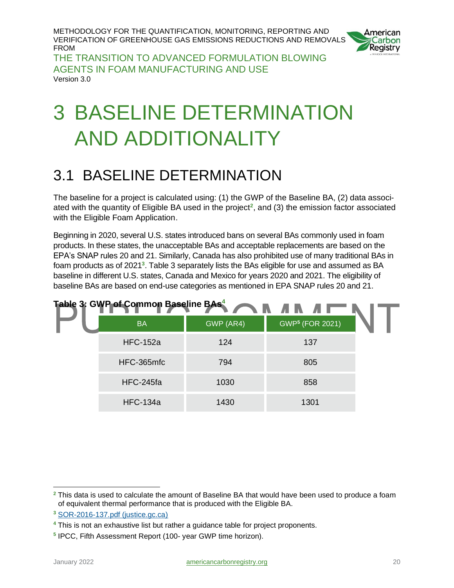

THE TRANSITION TO ADVANCED FORMULATION BLOWING AGENTS IN FOAM MANUFACTURING AND USE Version 3.0

# <span id="page-19-0"></span>3 BASELINE DETERMINATION AND ADDITIONALITY

## <span id="page-19-1"></span>3.1 BASELINE DETERMINATION

The baseline for a project is calculated using: (1) the GWP of the Baseline BA, (2) data associated with the quantity of Eligible BA used in the project**<sup>2</sup>** , and (3) the emission factor associated with the Eligible Foam Application.

Beginning in 2020, several U.S. states introduced bans on several BAs commonly used in foam products. In these states, the unacceptable BAs and acceptable replacements are based on the EPA's SNAP rules 20 and 21. Similarly, Canada has also prohibited use of many traditional BAs in foam products as of 2021<sup>3</sup>. Table 3 separately lists the BAs eligible for use and assumed as BA baseline in different U.S. states, Canada and Mexico for years 2020 and 2021. The eligibility of baseline BAs are based on end-use categories as mentioned in EPA SNAP rules 20 and 21.

<span id="page-19-2"></span>

| Table 3: GWP of Common Baseline BAs <sup>4</sup> |           |                             |  |
|--------------------------------------------------|-----------|-----------------------------|--|
| <b>BA</b>                                        | GWP (AR4) | GWP <sup>5</sup> (FOR 2021) |  |
| <b>HFC-152a</b>                                  | 124       | 137                         |  |
| HFC-365mfc                                       | 794       | 805                         |  |
| HFC-245fa                                        | 1030      | 858                         |  |
| <b>HFC-134a</b>                                  | 1430      | 1301                        |  |

**<sup>2</sup>** This data is used to calculate the amount of Baseline BA that would have been used to produce a foam of equivalent thermal performance that is produced with the Eligible BA.

**<sup>3</sup>** [SOR-2016-137.pdf \(justice.gc.ca\)](https://laws-lois.justice.gc.ca/PDF/SOR-2016-137.pdf)

**<sup>4</sup>** This is not an exhaustive list but rather a guidance table for project proponents.

**<sup>5</sup>** IPCC, Fifth Assessment Report (100- year GWP time horizon).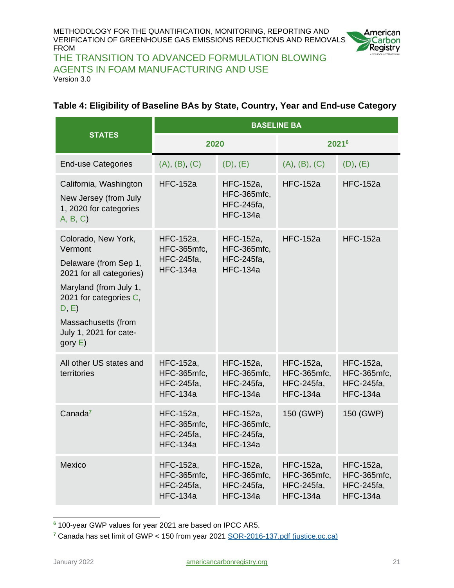

THE TRANSITION TO ADVANCED FORMULATION BLOWING AGENTS IN FOAM MANUFACTURING AND USE Version 3.0

#### <span id="page-20-0"></span>**Table 4: Eligibility of Baseline BAs by State, Country, Year and End-use Category**

|                                                                                                                                                                                                                | <b>BASELINE BA</b>                                               |                                                                  |                                                                  |                                                                  |
|----------------------------------------------------------------------------------------------------------------------------------------------------------------------------------------------------------------|------------------------------------------------------------------|------------------------------------------------------------------|------------------------------------------------------------------|------------------------------------------------------------------|
| <b>STATES</b>                                                                                                                                                                                                  | 2020                                                             |                                                                  | 20216                                                            |                                                                  |
| <b>End-use Categories</b>                                                                                                                                                                                      | (A), (B), (C)                                                    | (D), (E)                                                         | (A), (B), (C)                                                    | (D), (E)                                                         |
| California, Washington<br>New Jersey (from July<br>1, 2020 for categories<br>A, B, C                                                                                                                           | <b>HFC-152a</b>                                                  | HFC-152a,<br>HFC-365mfc,<br><b>HFC-245fa,</b><br><b>HFC-134a</b> | <b>HFC-152a</b>                                                  | <b>HFC-152a</b>                                                  |
| Colorado, New York,<br>Vermont<br>Delaware (from Sep 1,<br>2021 for all categories)<br>Maryland (from July 1,<br>2021 for categories C,<br>D, E<br>Massachusetts (from<br>July 1, 2021 for cate-<br>gory $E$ ) | HFC-152a,<br>HFC-365mfc,<br><b>HFC-245fa,</b><br><b>HFC-134a</b> | HFC-152a,<br>HFC-365mfc,<br><b>HFC-245fa,</b><br><b>HFC-134a</b> | <b>HFC-152a</b>                                                  | <b>HFC-152a</b>                                                  |
| All other US states and<br>territories                                                                                                                                                                         | HFC-152a,<br>HFC-365mfc,<br><b>HFC-245fa,</b><br><b>HFC-134a</b> | HFC-152a,<br>HFC-365mfc,<br><b>HFC-245fa,</b><br><b>HFC-134a</b> | HFC-152a,<br>HFC-365mfc,<br><b>HFC-245fa,</b><br><b>HFC-134a</b> | HFC-152a,<br>HFC-365mfc,<br><b>HFC-245fa,</b><br><b>HFC-134a</b> |
| Canada <sup>7</sup>                                                                                                                                                                                            | HFC-152a,<br>HFC-365mfc,<br><b>HFC-245fa,</b><br><b>HFC-134a</b> | HFC-152a,<br>HFC-365mfc,<br><b>HFC-245fa,</b><br><b>HFC-134a</b> | 150 (GWP)                                                        | 150 (GWP)                                                        |
| Mexico                                                                                                                                                                                                         | HFC-152a,<br>HFC-365mfc,<br><b>HFC-245fa,</b><br><b>HFC-134a</b> | HFC-152a,<br>HFC-365mfc,<br><b>HFC-245fa,</b><br><b>HFC-134a</b> | HFC-152a,<br>HFC-365mfc,<br><b>HFC-245fa,</b><br><b>HFC-134a</b> | HFC-152a,<br>HFC-365mfc,<br><b>HFC-245fa,</b><br><b>HFC-134a</b> |

**<sup>6</sup>** 100-year GWP values for year 2021 are based on IPCC AR5.

**<sup>7</sup>** Canada has set limit of GWP < 150 from year 2021 [SOR-2016-137.pdf \(justice.gc.ca\)](https://laws-lois.justice.gc.ca/PDF/SOR-2016-137.pdf)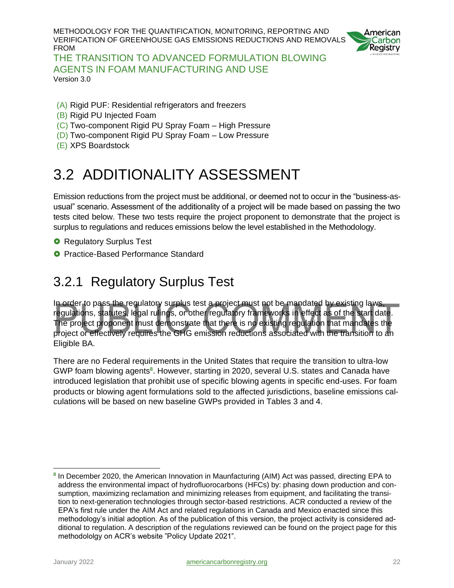

THE TRANSITION TO ADVANCED FORMULATION BLOWING AGENTS IN FOAM MANUFACTURING AND USE Version 3.0

- (A) Rigid PUF: Residential refrigerators and freezers
- (B) Rigid PU Injected Foam
- (C) Two-component Rigid PU Spray Foam High Pressure
- (D) Two-component Rigid PU Spray Foam Low Pressure
- <span id="page-21-0"></span>(E) XPS Boardstock

## 3.2 ADDITIONALITY ASSESSMENT

Emission reductions from the project must be additional, or deemed not to occur in the "business-asusual" scenario. Assessment of the additionality of a project will be made based on passing the two tests cited below. These two tests require the project proponent to demonstrate that the project is surplus to regulations and reduces emissions below the level established in the Methodology.

- **O** Regulatory Surplus Test
- <span id="page-21-1"></span>**O** Practice-Based Performance Standard

#### 3.2.1 Regulatory Surplus Test

In order to pass the regulatory surplus test a project must not be mandated by existing laws, regulations, statutes, legal rulings, or other regulatory frameworks in effect as of the start date. The project proponent must demonstrate that there is no existing regulation that mandates the project or effectively requires the GHG emission reductions associated with the transition to an Eligible BA.

There are no Federal requirements in the United States that require the transition to ultra-low GWP foam blowing agents<sup>8</sup>. However, starting in 2020, several U.S. states and Canada have introduced legislation that prohibit use of specific blowing agents in specific end-uses. For foam products or blowing agent formulations sold to the affected jurisdictions, baseline emissions calculations will be based on new baseline GWPs provided in Tables 3 and 4.

**<sup>8</sup>** In December 2020, the American Innovation in Maunfacturing (AIM) Act was passed, directing EPA to address the environmental impact of hydrofluorocarbons (HFCs) by: phasing down production and consumption, maximizing reclamation and minimizing releases from equipment, and facilitating the transition to next-generation technologies through sector-based restrictions. ACR conducted a review of the EPA's first rule under the AIM Act and related regulations in Canada and Mexico enacted since this methodology's initial adoption. As of the publication of this version, the project activity is considered additional to regulation. A description of the regulations reviewed can be found on the project page for this methodololgy on ACR's website "Policy Update 2021".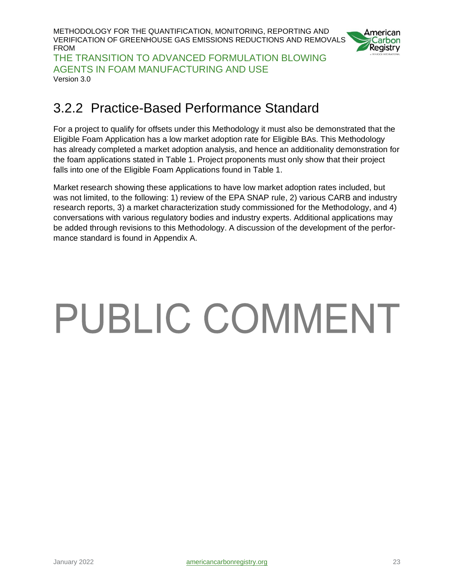METHODOLOGY FOR THE QUANTIFICATION, MONITORING, REPORTING AND VERIFICATION OF GREENHOUSE GAS EMISSIONS REDUCTIONS AND REMOVALS FROM THE TRANSITION TO ADVANCED FORMULATION BLOWING



AGENTS IN FOAM MANUFACTURING AND USE Version 3.0

#### <span id="page-22-0"></span>3.2.2 Practice-Based Performance Standard

For a project to qualify for offsets under this Methodology it must also be demonstrated that the Eligible Foam Application has a low market adoption rate for Eligible BAs. This Methodology has already completed a market adoption analysis, and hence an additionality demonstration for the foam applications stated in Table 1. Project proponents must only show that their project falls into one of the Eligible Foam Applications found in Table 1.

Market research showing these applications to have low market adoption rates included, but was not limited, to the following: 1) review of the EPA SNAP rule, 2) various CARB and industry research reports, 3) a market characterization study commissioned for the Methodology, and 4) conversations with various regulatory bodies and industry experts. Additional applications may be added through revisions to this Methodology. A discussion of the development of the performance standard is found in Appendix A.

# PUBLIC COMMENT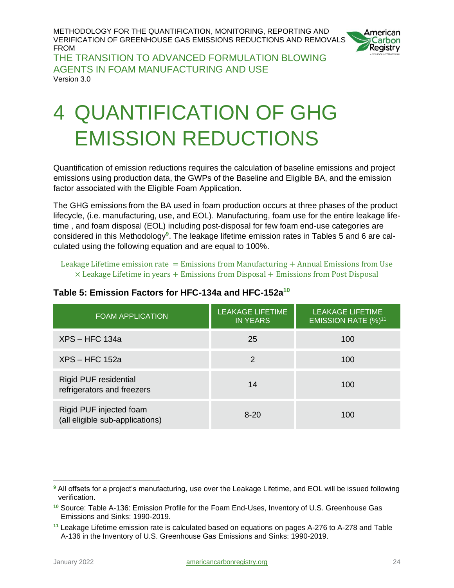

THE TRANSITION TO ADVANCED FORMULATION BLOWING AGENTS IN FOAM MANUFACTURING AND USE Version 3.0

# <span id="page-23-0"></span>4 QUANTIFICATION OF GHG EMISSION REDUCTIONS

Quantification of emission reductions requires the calculation of baseline emissions and project emissions using production data, the GWPs of the Baseline and Eligible BA, and the emission factor associated with the Eligible Foam Application.

The GHG emissions from the BA used in foam production occurs at three phases of the product lifecycle, (i.e. manufacturing, use, and EOL). Manufacturing, foam use for the entire leakage lifetime , and foam disposal (EOL) including post-disposal for few foam end-use categories are considered in this Methodology**<sup>9</sup>** . The leakage lifetime emission rates in Tables 5 and 6 are calculated using the following equation and are equal to 100%.

Leakage Lifetime emission rate  $=$  Emissions from Manufacturing  $+$  Annual Emissions from Use  $\times$  Leakage Lifetime in years  $+$  Emissions from Disposal  $+$  Emissions from Post Disposal

| <b>FOAM APPLICATION</b>                                    | <b>LEAKAGE LIFETIME</b><br><b>IN YEARS</b> | <b>LEAKAGE LIFETIME</b><br>EMISSION RATE (%) <sup>11</sup> |
|------------------------------------------------------------|--------------------------------------------|------------------------------------------------------------|
| $XPS - HFC 134a$                                           | 25                                         | 100                                                        |
| $XPS - HFC 152a$                                           | 2                                          | 100                                                        |
| <b>Rigid PUF residential</b><br>refrigerators and freezers | 14                                         | 100                                                        |
| Rigid PUF injected foam<br>(all eligible sub-applications) | $8 - 20$                                   | 100                                                        |

#### <span id="page-23-1"></span>**Table 5: Emission Factors for HFC-134a and HFC-152a<sup>10</sup>**

<span id="page-23-2"></span>**<sup>9</sup>** All offsets for a project's manufacturing, use over the Leakage Lifetime, and EOL will be issued following verification.

**<sup>10</sup>** Source: Table A-136: Emission Profile for the Foam End-Uses, Inventory of U.S. Greenhouse Gas Emissions and Sinks: 1990-2019.

**<sup>11</sup>** Leakage Lifetime emission rate is calculated based on equations on pages A-276 to A-278 and Table A-136 in the Inventory of U.S. Greenhouse Gas Emissions and Sinks: 1990-2019.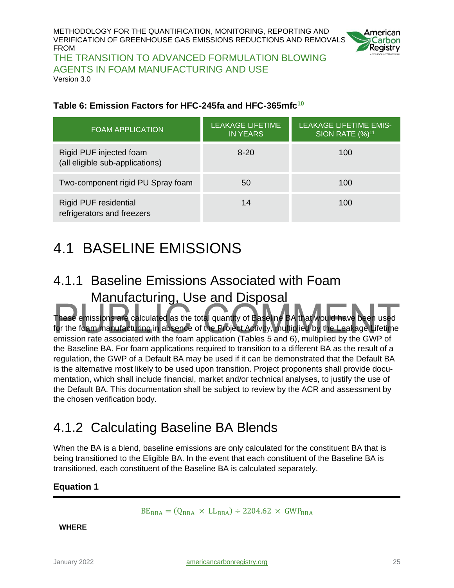

THE TRANSITION TO ADVANCED FORMULATION BLOWING AGENTS IN FOAM MANUFACTURING AND USE Version 3.0

#### **Table 6: Emission Factors for HFC-245fa and HFC-365mfc<sup>10</sup>**

| <b>FOAM APPLICATION</b>                                    | <b>LEAKAGE LIFETIME</b><br><b>IN YEARS</b> | <b>LEAKAGE LIFETIME EMIS-</b><br><b>SION RATE (%)<sup>11</sup></b> |
|------------------------------------------------------------|--------------------------------------------|--------------------------------------------------------------------|
| Rigid PUF injected foam<br>(all eligible sub-applications) | $8-20$                                     | 100                                                                |
| Two-component rigid PU Spray foam                          | 50                                         | 100                                                                |
| <b>Rigid PUF residential</b><br>refrigerators and freezers | 14                                         | 100                                                                |

## <span id="page-24-0"></span>4.1 BASELINE EMISSIONS

## <span id="page-24-1"></span>4.1.1 Baseline Emissions Associated with Foam Manufacturing, Use and Disposal

These emissions are calculated as the total quantity of Baseline BA that would have been used for the foam manufacturing in absence of the Project Activity, multiplied by the Leakage Lifetime emission rate associated with the foam application (Tables 5 and 6), multiplied by the GWP of the Baseline BA. For foam applications required to transition to a different BA as the result of a regulation, the GWP of a Default BA may be used if it can be demonstrated that the Default BA is the alternative most likely to be used upon transition. Project proponents shall provide documentation, which shall include financial, market and/or technical analyses, to justify the use of the Default BA. This documentation shall be subject to review by the ACR and assessment by the chosen verification body.

### <span id="page-24-2"></span>4.1.2 Calculating Baseline BA Blends

When the BA is a blend, baseline emissions are only calculated for the constituent BA that is being transitioned to the Eligible BA. In the event that each constituent of the Baseline BA is transitioned, each constituent of the Baseline BA is calculated separately.

#### <span id="page-24-3"></span>**Equation 1**

 $BE_{BBA} = (Q_{BBA} \times LL_{BBA}) \div 2204.62 \times GWP_{BBA}$ 

**WHERE**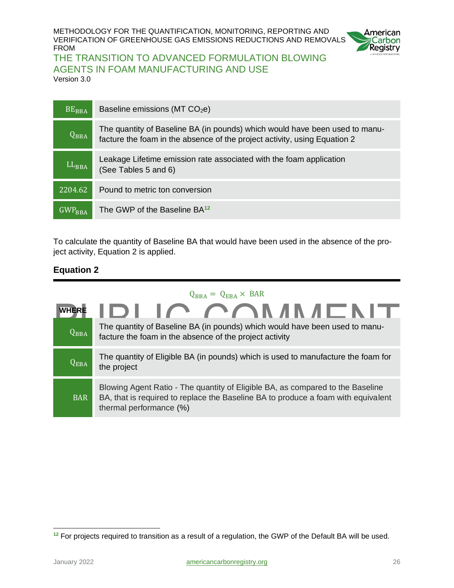

#### THE TRANSITION TO ADVANCED FORMULATION BLOWING AGENTS IN FOAM MANUFACTURING AND USE

Version 3.0

| $BE_{BBA}$      | Baseline emissions (MT $CO2e$ )                                                                                                                          |
|-----------------|----------------------------------------------------------------------------------------------------------------------------------------------------------|
| $Q_{BBA}$       | The quantity of Baseline BA (in pounds) which would have been used to manu-<br>facture the foam in the absence of the project activity, using Equation 2 |
| $LL_{BBA}$      | Leakage Lifetime emission rate associated with the foam application<br>(See Tables 5 and 6)                                                              |
| 2204.62         | Pound to metric ton conversion                                                                                                                           |
| $GWP_{\rm BBA}$ | The GWP of the Baseline BA12                                                                                                                             |

To calculate the quantity of Baseline BA that would have been used in the absence of the project activity, Equation 2 is applied.

#### <span id="page-25-0"></span>**Equation 2**

| $Q_{BBA} = Q_{EBA} \times BAR$ |                                                                                                                                                                                                |  |  |  |
|--------------------------------|------------------------------------------------------------------------------------------------------------------------------------------------------------------------------------------------|--|--|--|
| <b>WHERE</b>                   | IDI IC COMMADINT                                                                                                                                                                               |  |  |  |
| $Q_{BBA}$                      | The quantity of Baseline BA (in pounds) which would have been used to manu-<br>facture the foam in the absence of the project activity                                                         |  |  |  |
| $Q_{EBA}$                      | The quantity of Eligible BA (in pounds) which is used to manufacture the foam for<br>the project                                                                                               |  |  |  |
| <b>BAR</b>                     | Blowing Agent Ratio - The quantity of Eligible BA, as compared to the Baseline<br>BA, that is required to replace the Baseline BA to produce a foam with equivalent<br>thermal performance (%) |  |  |  |

**<sup>12</sup>** For projects required to transition as a result of a regulation, the GWP of the Default BA will be used.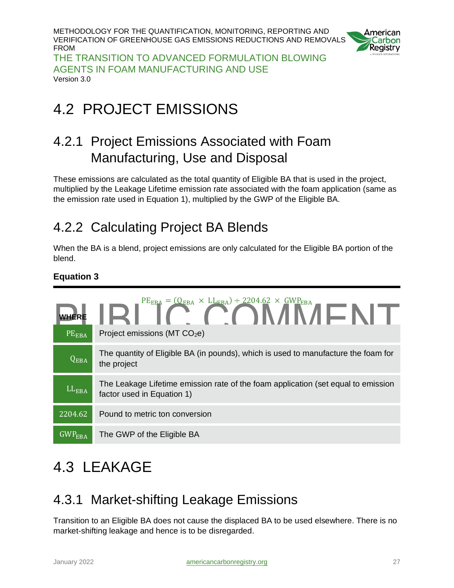

THE TRANSITION TO ADVANCED FORMULATION BLOWING AGENTS IN FOAM MANUFACTURING AND USE Version 3.0

## <span id="page-26-0"></span>4.2 PROJECT EMISSIONS

### <span id="page-26-1"></span>4.2.1 Project Emissions Associated with Foam Manufacturing, Use and Disposal

These emissions are calculated as the total quantity of Eligible BA that is used in the project, multiplied by the Leakage Lifetime emission rate associated with the foam application (same as the emission rate used in Equation 1), multiplied by the GWP of the Eligible BA.

## <span id="page-26-2"></span>4.2.2 Calculating Project BA Blends

When the BA is a blend, project emissions are only calculated for the Eligible BA portion of the blend.

#### <span id="page-26-5"></span>**Equation 3**

| PEEBA           | WHERE $\blacksquare$<br>Project emissions (MT CO <sub>2</sub> e)                                                |
|-----------------|-----------------------------------------------------------------------------------------------------------------|
| $Q_{EBA}$       | The quantity of Eligible BA (in pounds), which is used to manufacture the foam for<br>the project               |
| $LL_{\rm EBA}$  | The Leakage Lifetime emission rate of the foam application (set equal to emission<br>factor used in Equation 1) |
| 2204.62         | Pound to metric ton conversion                                                                                  |
| $GWP_{\rm EBA}$ | The GWP of the Eligible BA                                                                                      |

## <span id="page-26-3"></span>4.3 LEAKAGE

### <span id="page-26-4"></span>4.3.1 Market-shifting Leakage Emissions

Transition to an Eligible BA does not cause the displaced BA to be used elsewhere. There is no market-shifting leakage and hence is to be disregarded.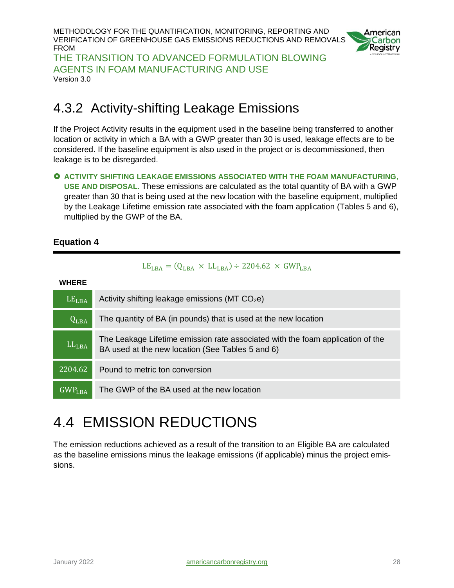METHODOLOGY FOR THE QUANTIFICATION, MONITORING, REPORTING AND VERIFICATION OF GREENHOUSE GAS EMISSIONS REDUCTIONS AND REMOVALS FROM THE TRANSITION TO ADVANCED FORMULATION BLOWING



AGENTS IN FOAM MANUFACTURING AND USE Version 3.0

#### <span id="page-27-0"></span>4.3.2 Activity-shifting Leakage Emissions

If the Project Activity results in the equipment used in the baseline being transferred to another location or activity in which a BA with a GWP greater than 30 is used, leakage effects are to be considered. If the baseline equipment is also used in the project or is decommissioned, then leakage is to be disregarded.

 **ACTIVITY SHIFTING LEAKAGE EMISSIONS ASSOCIATED WITH THE FOAM MANUFACTURING, USE AND DISPOSAL.** These emissions are calculated as the total quantity of BA with a GWP greater than 30 that is being used at the new location with the baseline equipment, multiplied by the Leakage Lifetime emission rate associated with the foam application (Tables 5 and 6), multiplied by the GWP of the BA.

#### <span id="page-27-2"></span>**Equation 4**

#### $LE<sub>LBA</sub> = (Q<sub>LBA</sub> \times LL<sub>LBA</sub>) \div 2204.62 \times GWP<sub>LBA</sub>$

**WHERE**

| LE <sub>LBA</sub>  | Activity shifting leakage emissions ( $MT CO2e$ )                                                                                  |
|--------------------|------------------------------------------------------------------------------------------------------------------------------------|
| $Q_{LBA}$          | The quantity of BA (in pounds) that is used at the new location                                                                    |
| $LL_{LBA}$         | The Leakage Lifetime emission rate associated with the foam application of the<br>BA used at the new location (See Tables 5 and 6) |
| 2204.62            | Pound to metric ton conversion                                                                                                     |
| GWP <sub>LBA</sub> | The GWP of the BA used at the new location                                                                                         |

## <span id="page-27-1"></span>4.4 EMISSION REDUCTIONS

<span id="page-27-3"></span>The emission reductions achieved as a result of the transition to an Eligible BA are calculated as the baseline emissions minus the leakage emissions (if applicable) minus the project emissions.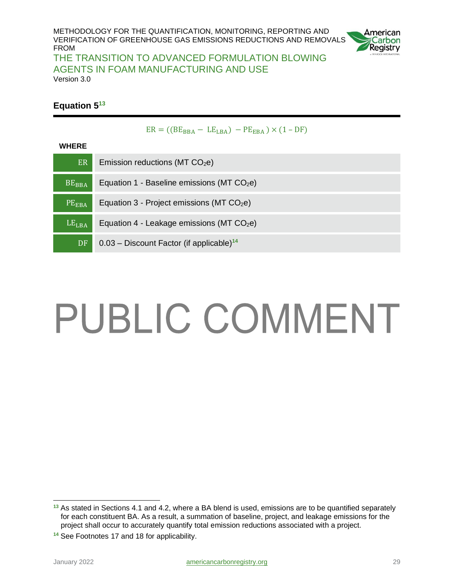

#### THE TRANSITION TO ADVANCED FORMULATION BLOWING AGENTS IN FOAM MANUFACTURING AND USE Version 3.0

#### **Equation 5 13**

|  | $ER = ((BEBBA - LELBA) - PEEBA) \times (1 - DF)$ |  |
|--|--------------------------------------------------|--|
|  |                                                  |  |

#### **WHERE**

| ER                | Emission reductions ( $MT CO2e$ )                       |
|-------------------|---------------------------------------------------------|
| $BE_{BBA}$        | Equation 1 - Baseline emissions (MT $CO2e$ )            |
| PE <sub>EBA</sub> | Equation $3$ - Project emissions (MT CO <sub>2</sub> e) |
| LE <sub>LBA</sub> | Equation 4 - Leakage emissions (MT CO <sub>2</sub> e)   |
| DF                | $0.03$ – Discount Factor (if applicable) <sup>14</sup>  |

# PUBLIC COMMENT

**<sup>13</sup>** As stated in Sections 4.1 and 4.2, where a BA blend is used, emissions are to be quantified separately for each constituent BA. As a result, a summation of baseline, project, and leakage emissions for the project shall occur to accurately quantify total emission reductions associated with a project.

**<sup>14</sup>** See Footnotes 17 and 18 for applicability.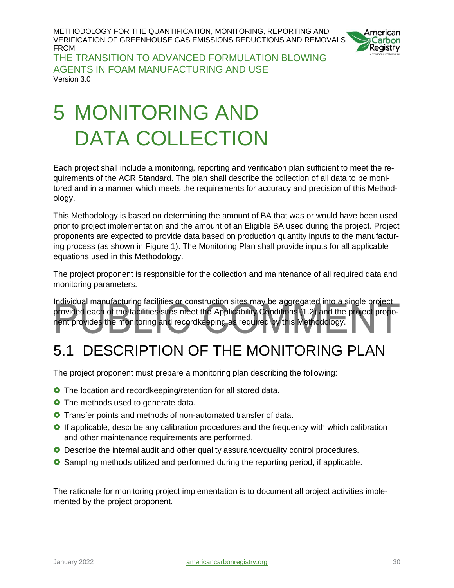

THE TRANSITION TO ADVANCED FORMULATION BLOWING AGENTS IN FOAM MANUFACTURING AND USE Version 3.0

# <span id="page-29-0"></span>5 MONITORING AND DATA COLLECTION

Each project shall include a monitoring, reporting and verification plan sufficient to meet the requirements of the ACR Standard. The plan shall describe the collection of all data to be monitored and in a manner which meets the requirements for accuracy and precision of this Methodology.

This Methodology is based on determining the amount of BA that was or would have been used prior to project implementation and the amount of an Eligible BA used during the project. Project proponents are expected to provide data based on production quantity inputs to the manufacturing process (as shown in Figure 1). The Monitoring Plan shall provide inputs for all applicable equations used in this Methodology.

The project proponent is responsible for the collection and maintenance of all required data and monitoring parameters.

Individual manufacturing facilities or construction sites may be aggregated into a single project provided each of the facilities/sites meet the Applicability Conditions (1.2) and the project proponent provides the monitoring and recordkeeping as required by this Methodology.

## <span id="page-29-1"></span>5.1 DESCRIPTION OF THE MONITORING PLAN

The project proponent must prepare a monitoring plan describing the following:

- **O** The location and recordkeeping/retention for all stored data.
- **O** The methods used to generate data.
- **O** Transfer points and methods of non-automated transfer of data.
- **O** If applicable, describe any calibration procedures and the frequency with which calibration and other maintenance requirements are performed.
- **O** Describe the internal audit and other quality assurance/quality control procedures.
- Sampling methods utilized and performed during the reporting period, if applicable.

The rationale for monitoring project implementation is to document all project activities implemented by the project proponent.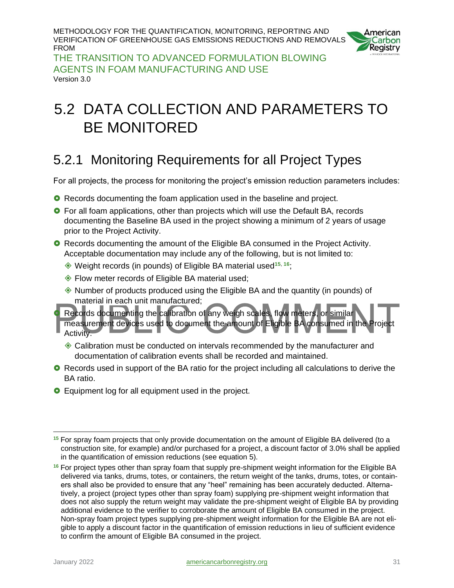

THE TRANSITION TO ADVANCED FORMULATION BLOWING AGENTS IN FOAM MANUFACTURING AND USE Version 3.0

## <span id="page-30-0"></span>5.2 DATA COLLECTION AND PARAMETERS TO BE MONITORED

## <span id="page-30-1"></span>5.2.1 Monitoring Requirements for all Project Types

For all projects, the process for monitoring the project's emission reduction parameters includes:

- **O** Records documenting the foam application used in the baseline and project.
- **O** For all foam applications, other than projects which will use the Default BA, records documenting the Baseline BA used in the project showing a minimum of 2 years of usage prior to the Project Activity.
- **O** Records documenting the amount of the Eligible BA consumed in the Project Activity. Acceptable documentation may include any of the following, but is not limited to:
	- Weight records (in pounds) of Eligible BA material used**<sup>15</sup>**, **<sup>16</sup>**;
	- ◆ Flow meter records of Eligible BA material used;
	- $\Diamond$  Number of products produced using the Eligible BA and the quantity (in pounds) of material in each unit manufactured;
- Records documenting the calibration of any weigh scales, flow meters, or similar measurement devices used to document the amount of Eligible BA consumed in the Project Activity.
	- Calibration must be conducted on intervals recommended by the manufacturer and documentation of calibration events shall be recorded and maintained.
- **O** Records used in support of the BA ratio for the project including all calculations to derive the BA ratio.
- **O** Equipment log for all equipment used in the project.

**<sup>15</sup>** For spray foam projects that only provide documentation on the amount of Eligible BA delivered (to a construction site, for example) and/or purchased for a project, a discount factor of 3.0% shall be applied in the quantification of emission reductions (see equation 5).

**<sup>16</sup>** For project types other than spray foam that supply pre-shipment weight information for the Eligible BA delivered via tanks, drums, totes, or containers, the return weight of the tanks, drums, totes, or containers shall also be provided to ensure that any "heel" remaining has been accurately deducted. Alternatively, a project (project types other than spray foam) supplying pre-shipment weight information that does not also supply the return weight may validate the pre-shipment weight of Eligible BA by providing additional evidence to the verifier to corroborate the amount of Eligible BA consumed in the project. Non-spray foam project types supplying pre-shipment weight information for the Eligible BA are not eligible to apply a discount factor in the quantification of emission reductions in lieu of sufficient evidence to confirm the amount of Eligible BA consumed in the project.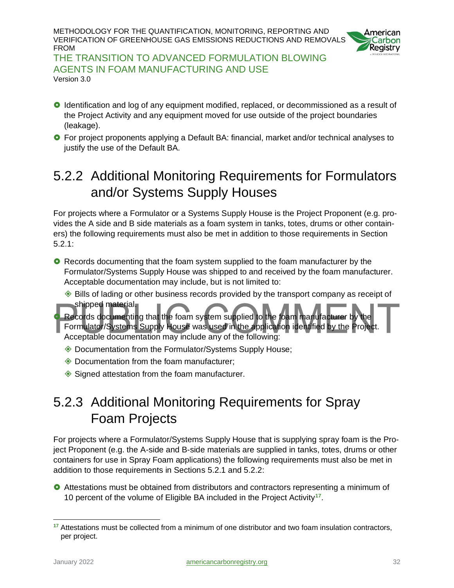

THE TRANSITION TO ADVANCED FORMULATION BLOWING AGENTS IN FOAM MANUFACTURING AND USE Version 3.0

- **O** Identification and log of any equipment modified, replaced, or decommissioned as a result of the Project Activity and any equipment moved for use outside of the project boundaries (leakage).
- **O** For project proponents applying a Default BA: financial, market and/or technical analyses to justify the use of the Default BA.

## <span id="page-31-0"></span>5.2.2 Additional Monitoring Requirements for Formulators and/or Systems Supply Houses

For projects where a Formulator or a Systems Supply House is the Project Proponent (e.g. provides the A side and B side materials as a foam system in tanks, totes, drums or other containers) the following requirements must also be met in addition to those requirements in Section 5.2.1:

- **O** Records documenting that the foam system supplied to the foam manufacturer by the Formulator/Systems Supply House was shipped to and received by the foam manufacturer. Acceptable documentation may include, but is not limited to:
	- $\triangle$  Bills of lading or other business records provided by the transport company as receipt of shipped material.

Records documenting that the foam system supplied to the foam manufacturer b Formulator/Systems Supply House was used in the application identified by the Project. Acceptable documentation may include any of the following:

- ◆ Documentation from the Formulator/Systems Supply House;
- Documentation from the foam manufacturer;
- ◆ Signed attestation from the foam manufacturer.

### <span id="page-31-1"></span>5.2.3 Additional Monitoring Requirements for Spray Foam Projects

For projects where a Formulator/Systems Supply House that is supplying spray foam is the Project Proponent (e.g. the A-side and B-side materials are supplied in tanks, totes, drums or other containers for use in Spray Foam applications) the following requirements must also be met in addition to those requirements in Sections 5.2.1 and 5.2.2:

 Attestations must be obtained from distributors and contractors representing a minimum of 10 percent of the volume of Eligible BA included in the Project Activity**<sup>17</sup>** .

**<sup>17</sup>** Attestations must be collected from a minimum of one distributor and two foam insulation contractors, per project.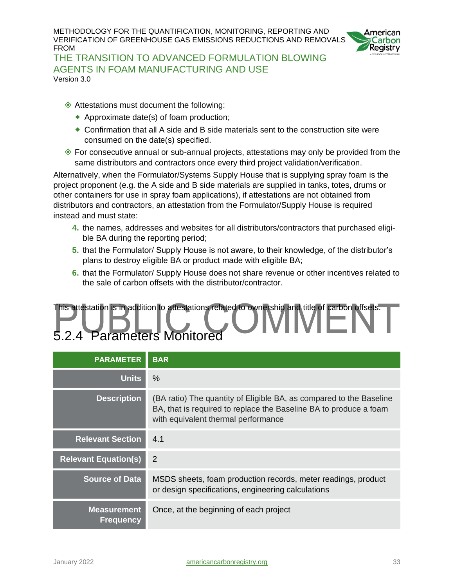

THE TRANSITION TO ADVANCED FORMULATION BLOWING AGENTS IN FOAM MANUFACTURING AND USE Version 3.0

- ◆ Attestations must document the following:
	- ◆ Approximate date(s) of foam production;
	- Confirmation that all A side and B side materials sent to the construction site were consumed on the date(s) specified.
- $\Diamond$  For consecutive annual or sub-annual projects, attestations may only be provided from the same distributors and contractors once every third project validation/verification.

Alternatively, when the Formulator/Systems Supply House that is supplying spray foam is the project proponent (e.g. the A side and B side materials are supplied in tanks, totes, drums or other containers for use in spray foam applications), if attestations are not obtained from distributors and contractors, an attestation from the Formulator/Supply House is required instead and must state:

- **4.** the names, addresses and websites for all distributors/contractors that purchased eligible BA during the reporting period;
- **5.** that the Formulator/ Supply House is not aware, to their knowledge, of the distributor's plans to destroy eligible BA or product made with eligible BA;
- **6.** that the Formulator/ Supply House does not share revenue or other incentives related to the sale of carbon offsets with the distributor/contractor.

## <span id="page-32-0"></span>This attestation is in addition to attestations related to ownership and title of carbon offsets. 5.2.4 Parameters Monitored

| <b>PARAMETER</b>                       | <b>BAR</b>                                                                                                                                                                      |
|----------------------------------------|---------------------------------------------------------------------------------------------------------------------------------------------------------------------------------|
| <b>Units</b>                           | $\%$                                                                                                                                                                            |
| <b>Description</b>                     | (BA ratio) The quantity of Eligible BA, as compared to the Baseline<br>BA, that is required to replace the Baseline BA to produce a foam<br>with equivalent thermal performance |
| <b>Relevant Section</b>                | 4.1                                                                                                                                                                             |
| <b>Relevant Equation(s)</b>            | 2                                                                                                                                                                               |
| <b>Source of Data</b>                  | MSDS sheets, foam production records, meter readings, product<br>or design specifications, engineering calculations                                                             |
| <b>Measurement</b><br><b>Frequency</b> | Once, at the beginning of each project                                                                                                                                          |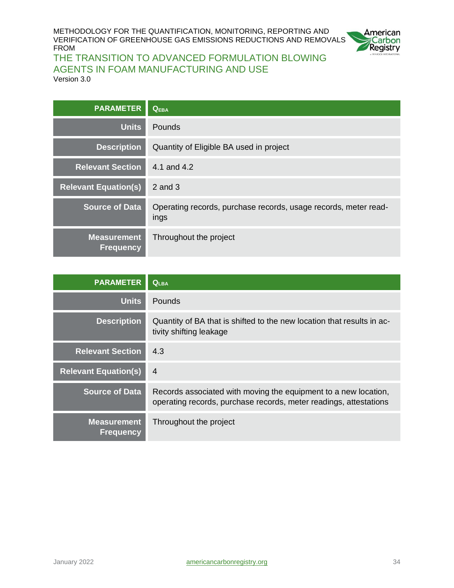

#### THE TRANSITION TO ADVANCED FORMULATION BLOWING AGENTS IN FOAM MANUFACTURING AND USE Version 3.0

| <b>PARAMETER</b>                       | <b>QEBA</b>                                                             |
|----------------------------------------|-------------------------------------------------------------------------|
| <b>Units</b>                           | Pounds                                                                  |
| <b>Description</b>                     | Quantity of Eligible BA used in project                                 |
| <b>Relevant Section</b>                | 4.1 and 4.2                                                             |
| <b>Relevant Equation(s)</b>            | $2$ and $3$                                                             |
| <b>Source of Data</b>                  | Operating records, purchase records, usage records, meter read-<br>ings |
| <b>Measurement</b><br><b>Frequency</b> | Throughout the project                                                  |

| <b>PARAMETER</b>                       | $Q_{LBA}$                                                                                                                            |
|----------------------------------------|--------------------------------------------------------------------------------------------------------------------------------------|
| <b>Units</b>                           | <b>Pounds</b>                                                                                                                        |
| <b>Description</b>                     | Quantity of BA that is shifted to the new location that results in ac-<br>tivity shifting leakage                                    |
| <b>Relevant Section</b>                | 4.3                                                                                                                                  |
| <b>Relevant Equation(s)</b>            | $\overline{4}$                                                                                                                       |
| <b>Source of Data</b>                  | Records associated with moving the equipment to a new location,<br>operating records, purchase records, meter readings, attestations |
| <b>Measurement</b><br><b>Frequency</b> | Throughout the project                                                                                                               |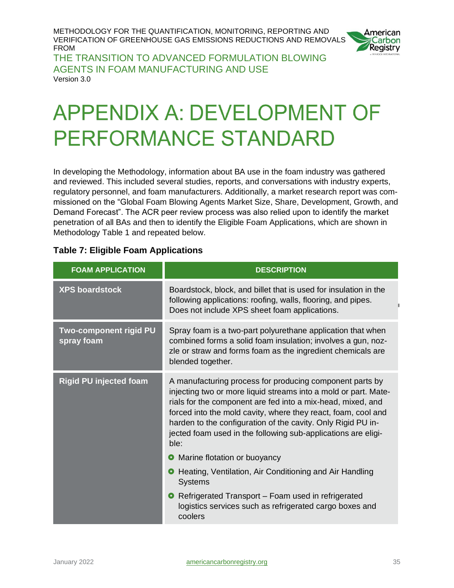

THE TRANSITION TO ADVANCED FORMULATION BLOWING AGENTS IN FOAM MANUFACTURING AND USE Version 3.0

# <span id="page-34-0"></span>**APPENDIX A: DEVELOPMENT OF PERFORMANCE STANDARD**

In developing the Methodology, information about BA use in the foam industry was gathered and reviewed. This included several studies, reports, and conversations with industry experts, regulatory personnel, and foam manufacturers. Additionally, a market research report was commissioned on the "Global Foam Blowing Agents Market Size, Share, Development, Growth, and Demand Forecast". The ACR peer review process was also relied upon to identify the market penetration of all BAs and then to identify the Eligible Foam Applications, which are shown in Methodology Table 1 and repeated below.

| <b>FOAM APPLICATION</b>              | <b>DESCRIPTION</b>                                                                                                                                                                                                                                                                                                                                                                                   |  |  |  |
|--------------------------------------|------------------------------------------------------------------------------------------------------------------------------------------------------------------------------------------------------------------------------------------------------------------------------------------------------------------------------------------------------------------------------------------------------|--|--|--|
| <b>XPS boardstock</b>                | Boardstock, block, and billet that is used for insulation in the<br>following applications: roofing, walls, flooring, and pipes.<br>Does not include XPS sheet foam applications.                                                                                                                                                                                                                    |  |  |  |
| Two-component rigid PU<br>spray foam | Spray foam is a two-part polyurethane application that when<br>combined forms a solid foam insulation; involves a gun, noz-<br>zle or straw and forms foam as the ingredient chemicals are<br>blended together.                                                                                                                                                                                      |  |  |  |
| <b>Rigid PU injected foam</b>        | A manufacturing process for producing component parts by<br>injecting two or more liquid streams into a mold or part. Mate-<br>rials for the component are fed into a mix-head, mixed, and<br>forced into the mold cavity, where they react, foam, cool and<br>harden to the configuration of the cavity. Only Rigid PU in-<br>jected foam used in the following sub-applications are eligi-<br>ble: |  |  |  |
|                                      | Marine flotation or buoyancy                                                                                                                                                                                                                                                                                                                                                                         |  |  |  |
|                                      | Heating, Ventilation, Air Conditioning and Air Handling<br>$\bullet$<br><b>Systems</b>                                                                                                                                                                                                                                                                                                               |  |  |  |
|                                      | • Refrigerated Transport – Foam used in refrigerated<br>logistics services such as refrigerated cargo boxes and<br>coolers                                                                                                                                                                                                                                                                           |  |  |  |

#### <span id="page-34-1"></span>**Table 7: Eligible Foam Applications**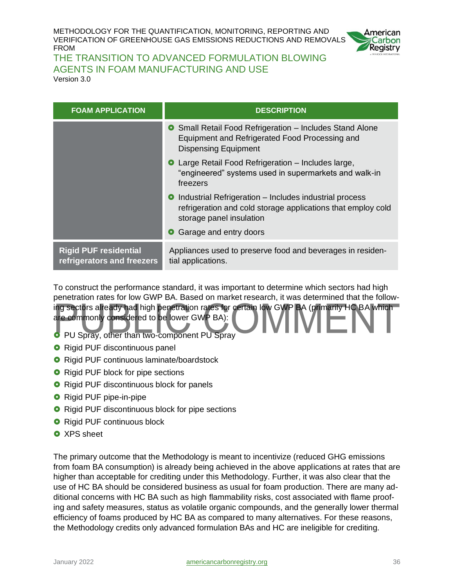

THE TRANSITION TO ADVANCED FORMULATION BLOWING AGENTS IN FOAM MANUFACTURING AND USE Version 3.0

| <b>FOAM APPLICATION</b>                                    | <b>DESCRIPTION</b>                                                                                                                                   |  |  |  |  |
|------------------------------------------------------------|------------------------------------------------------------------------------------------------------------------------------------------------------|--|--|--|--|
|                                                            | <b>O</b> Small Retail Food Refrigeration - Includes Stand Alone<br>Equipment and Refrigerated Food Processing and<br><b>Dispensing Equipment</b>     |  |  |  |  |
|                                                            | <b>O</b> Large Retail Food Refrigeration – Includes large,<br>"engineered" systems used in supermarkets and walk-in<br>freezers                      |  |  |  |  |
|                                                            | • Industrial Refrigeration – Includes industrial process<br>refrigeration and cold storage applications that employ cold<br>storage panel insulation |  |  |  |  |
|                                                            | Garage and entry doors<br>$\bullet$                                                                                                                  |  |  |  |  |
| <b>Rigid PUF residential</b><br>refrigerators and freezers | Appliances used to preserve food and beverages in residen-<br>tial applications.                                                                     |  |  |  |  |

To construct the performance standard, it was important to determine which sectors had high penetration rates for low GWP BA. Based on market research, it was determined that the following sectors already had high penetration rates for certain low GWP BA (primarily HC BA which are commonly considered to be lower GWP BA):

- **PU Spray, other than two-component PU Spray**
- **O** Rigid PUF discontinuous panel
- **O** Rigid PUF continuous laminate/boardstock
- **O** Rigid PUF block for pipe sections
- **O** Rigid PUF discontinuous block for panels
- **O** Rigid PUF pipe-in-pipe
- **O** Rigid PUF discontinuous block for pipe sections
- **O** Rigid PUF continuous block
- **O** XPS sheet

The primary outcome that the Methodology is meant to incentivize (reduced GHG emissions from foam BA consumption) is already being achieved in the above applications at rates that are higher than acceptable for crediting under this Methodology. Further, it was also clear that the use of HC BA should be considered business as usual for foam production. There are many additional concerns with HC BA such as high flammability risks, cost associated with flame proofing and safety measures, status as volatile organic compounds, and the generally lower thermal efficiency of foams produced by HC BA as compared to many alternatives. For these reasons, the Methodology credits only advanced formulation BAs and HC are ineligible for crediting.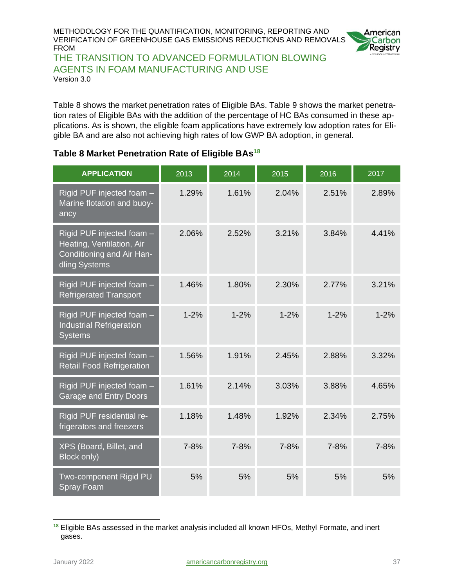

THE TRANSITION TO ADVANCED FORMULATION BLOWING AGENTS IN FOAM MANUFACTURING AND USE Version 3.0

Table 8 shows the market penetration rates of Eligible BAs. Table 9 shows the market penetration rates of Eligible BAs with the addition of the percentage of HC BAs consumed in these applications. As is shown, the eligible foam applications have extremely low adoption rates for Eligible BA and are also not achieving high rates of low GWP BA adoption, in general.

#### <span id="page-36-0"></span>**Table 8 Market Penetration Rate of Eligible BAs<sup>18</sup>**

| <b>APPLICATION</b>                                                                                   | 2013     | 2014     | 2015     | 2016     | 2017     |
|------------------------------------------------------------------------------------------------------|----------|----------|----------|----------|----------|
| Rigid PUF injected foam -<br>Marine flotation and buoy-<br>ancy                                      | 1.29%    | 1.61%    | 2.04%    | 2.51%    | 2.89%    |
| Rigid PUF injected foam -<br>Heating, Ventilation, Air<br>Conditioning and Air Han-<br>dling Systems | 2.06%    | 2.52%    | 3.21%    | 3.84%    | 4.41%    |
| Rigid PUF injected foam -<br><b>Refrigerated Transport</b>                                           | 1.46%    | 1.80%    | 2.30%    | 2.77%    | 3.21%    |
| Rigid PUF injected foam -<br><b>Industrial Refrigeration</b><br><b>Systems</b>                       | $1 - 2%$ | $1 - 2%$ | $1 - 2%$ | $1 - 2%$ | $1 - 2%$ |
| Rigid PUF injected foam -<br><b>Retail Food Refrigeration</b>                                        | 1.56%    | 1.91%    | 2.45%    | 2.88%    | 3.32%    |
| Rigid PUF injected foam -<br>Garage and Entry Doors                                                  | 1.61%    | 2.14%    | 3.03%    | 3.88%    | 4.65%    |
| Rigid PUF residential re-<br>frigerators and freezers                                                | 1.18%    | 1.48%    | 1.92%    | 2.34%    | 2.75%    |
| XPS (Board, Billet, and<br>Block only)                                                               | $7 - 8%$ | $7 - 8%$ | $7 - 8%$ | $7 - 8%$ | $7 - 8%$ |
| Two-component Rigid PU<br><b>Spray Foam</b>                                                          | 5%       | 5%       | 5%       | 5%       | 5%       |

**<sup>18</sup>** Eligible BAs assessed in the market analysis included all known HFOs, Methyl Formate, and inert gases.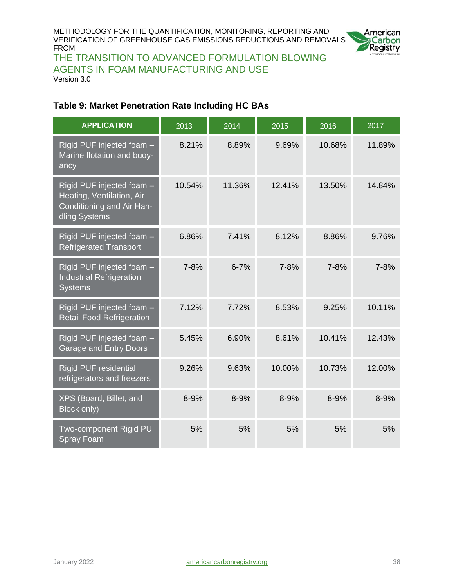

THE TRANSITION TO ADVANCED FORMULATION BLOWING AGENTS IN FOAM MANUFACTURING AND USE Version 3.0

#### <span id="page-37-0"></span>**Table 9: Market Penetration Rate Including HC BAs**

| <b>APPLICATION</b>                                                                                   | 2013     | 2014     | 2015     | 2016     | 2017     |
|------------------------------------------------------------------------------------------------------|----------|----------|----------|----------|----------|
| Rigid PUF injected foam -<br>Marine flotation and buoy-<br>ancy                                      | 8.21%    | 8.89%    | 9.69%    | 10.68%   | 11.89%   |
| Rigid PUF injected foam -<br>Heating, Ventilation, Air<br>Conditioning and Air Han-<br>dling Systems | 10.54%   | 11.36%   | 12.41%   | 13.50%   | 14.84%   |
| Rigid PUF injected foam -<br><b>Refrigerated Transport</b>                                           | 6.86%    | 7.41%    | 8.12%    | 8.86%    | 9.76%    |
| Rigid PUF injected foam -<br><b>Industrial Refrigeration</b><br><b>Systems</b>                       | $7 - 8%$ | $6 - 7%$ | $7 - 8%$ | $7 - 8%$ | $7 - 8%$ |
| Rigid PUF injected foam -<br><b>Retail Food Refrigeration</b>                                        | 7.12%    | 7.72%    | 8.53%    | 9.25%    | 10.11%   |
| Rigid PUF injected foam -<br>Garage and Entry Doors                                                  | 5.45%    | 6.90%    | 8.61%    | 10.41%   | 12.43%   |
| <b>Rigid PUF residential</b><br>refrigerators and freezers                                           | 9.26%    | 9.63%    | 10.00%   | 10.73%   | 12.00%   |
| XPS (Board, Billet, and<br>Block only)                                                               | 8-9%     | 8-9%     | $8 - 9%$ | $8 - 9%$ | 8-9%     |
| Two-component Rigid PU<br><b>Spray Foam</b>                                                          | 5%       | 5%       | 5%       | 5%       | 5%       |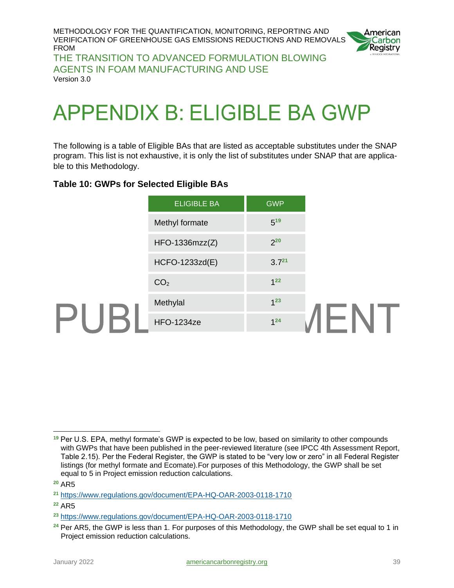

THE TRANSITION TO ADVANCED FORMULATION BLOWING AGENTS IN FOAM MANUFACTURING AND USE Version 3.0

# <span id="page-38-0"></span>**APPENDIX B: ELIGIBLE BA GWP**

The following is a table of Eligible BAs that are listed as acceptable substitutes under the SNAP program. This list is not exhaustive, it is only the list of substitutes under SNAP that are applicable to this Methodology.

#### <span id="page-38-1"></span>**Table 10: GWPs for Selected Eligible BAs**

| $5^{19}$<br>Methyl formate<br>$2^{20}$<br>$HFO-1336mzz(Z)$<br>$3.7^{21}$<br>HCFO-1233zd(E)<br>1 <sup>22</sup><br>CO <sub>2</sub><br>$1^{23}$<br>Methylal |                | <b>ELIGIBLE BA</b> | <b>GWP</b> |  |
|----------------------------------------------------------------------------------------------------------------------------------------------------------|----------------|--------------------|------------|--|
|                                                                                                                                                          |                |                    |            |  |
|                                                                                                                                                          |                |                    |            |  |
|                                                                                                                                                          |                |                    |            |  |
|                                                                                                                                                          |                |                    |            |  |
|                                                                                                                                                          | $\blacksquare$ |                    |            |  |
| ⊢.<br>$1^{24}$<br><b>HFO-1234ze</b>                                                                                                                      |                |                    |            |  |

**<sup>19</sup>** Per U.S. EPA, methyl formate's GWP is expected to be low, based on similarity to other compounds with GWPs that have been published in the peer-reviewed literature (see IPCC 4th Assessment Report, Table 2.15). Per the Federal Register, the GWP is stated to be "very low or zero" in all Federal Register listings (for methyl formate and Ecomate).For purposes of this Methodology, the GWP shall be set equal to 5 in Project emission reduction calculations.

**<sup>20</sup>** AR5

**<sup>21</sup>** <https://www.regulations.gov/document/EPA-HQ-OAR-2003-0118-1710>

**<sup>22</sup>** AR5

**<sup>23</sup>** <https://www.regulations.gov/document/EPA-HQ-OAR-2003-0118-1710>

**<sup>24</sup>** Per AR5, the GWP is less than 1. For purposes of this Methodology, the GWP shall be set equal to 1 in Project emission reduction calculations.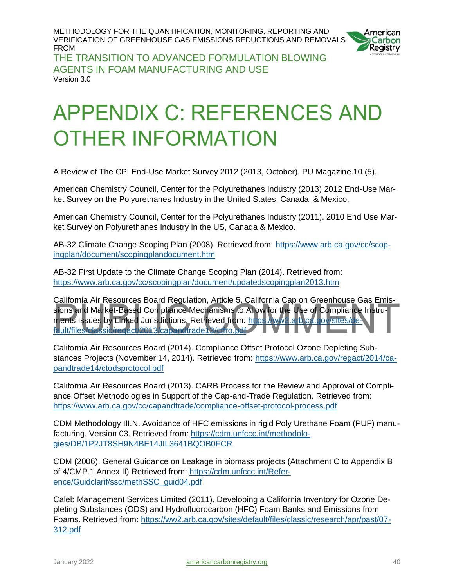

THE TRANSITION TO ADVANCED FORMULATION BLOWING AGENTS IN FOAM MANUFACTURING AND USE Version 3.0

# <span id="page-39-0"></span>**APPENDIX C: REFERENCES AND OTHER INFORMATION**

A Review of The CPI End-Use Market Survey 2012 (2013, October). PU Magazine.10 (5).

American Chemistry Council, Center for the Polyurethanes Industry (2013) 2012 End-Use Market Survey on the Polyurethanes Industry in the United States, Canada, & Mexico.

American Chemistry Council, Center for the Polyurethanes Industry (2011). 2010 End Use Market Survey on Polyurethanes Industry in the US, Canada & Mexico.

AB-32 Climate Change Scoping Plan (2008). Retrieved from: [https://www.arb.ca.gov/cc/scop](https://www.arb.ca.gov/cc/scopingplan/document/scopingplandocument.htm)[ingplan/document/scopingplandocument.htm](https://www.arb.ca.gov/cc/scopingplan/document/scopingplandocument.htm)

AB-32 First Update to the Climate Change Scoping Plan (2014). Retrieved from: <https://www.arb.ca.gov/cc/scopingplan/document/updatedscopingplan2013.htm>

California Air Resources Board Regulation, Article 5. California Cap on Greenhouse Gas Emissions and Market-Based Compliance Mechanisms to Allow for the Use of Compliance Instruments Issues by Linked Jurisdictions. Retrieved from: [https://ww2.arb.ca.gov/sites/de](https://ww2.arb.ca.gov/sites/default/files/classic/regact/2013/capandtrade13/ctfro.pdf)[fault/files/classic/regact/2013/capandtrade13/ctfro.pdf](https://ww2.arb.ca.gov/sites/default/files/classic/regact/2013/capandtrade13/ctfro.pdf)

California Air Resources Board (2014). Compliance Offset Protocol Ozone Depleting Substances Projects (November 14, 2014). Retrieved from: [https://www.arb.ca.gov/regact/2014/ca](https://www.arb.ca.gov/regact/2014/capandtrade14/ctodsprotocol.pdf)[pandtrade14/ctodsprotocol.pdf](https://www.arb.ca.gov/regact/2014/capandtrade14/ctodsprotocol.pdf)

California Air Resources Board (2013). CARB Process for the Review and Approval of Compliance Offset Methodologies in Support of the Cap-and-Trade Regulation. Retrieved from: <https://www.arb.ca.gov/cc/capandtrade/compliance-offset-protocol-process.pdf>

CDM Methodology III.N. Avoidance of HFC emissions in rigid Poly Urethane Foam (PUF) manufacturing, Version 03. Retrieved from: [https://cdm.unfccc.int/methodolo](https://cdm.unfccc.int/methodologies/DB/1P2JT8SH9N4BE14JIL3641BQOB0FCR)[gies/DB/1P2JT8SH9N4BE14JIL3641BQOB0FCR](https://cdm.unfccc.int/methodologies/DB/1P2JT8SH9N4BE14JIL3641BQOB0FCR)

CDM (2006). General Guidance on Leakage in biomass projects (Attachment C to Appendix B of 4/CMP.1 Annex II) Retrieved from: [https://cdm.unfccc.int/Refer](https://cdm.unfccc.int/Reference/Guidclarif/ssc/methSSC_guid04.pdf)[ence/Guidclarif/ssc/methSSC\\_guid04.pdf](https://cdm.unfccc.int/Reference/Guidclarif/ssc/methSSC_guid04.pdf)

Caleb Management Services Limited (2011). Developing a California Inventory for Ozone Depleting Substances (ODS) and Hydrofluorocarbon (HFC) Foam Banks and Emissions from Foams. Retrieved from: [https://ww2.arb.ca.gov/sites/default/files/classic/research/apr/past/07-](https://ww2.arb.ca.gov/sites/default/files/classic/research/apr/past/07-312.pdf) [312.pdf](https://ww2.arb.ca.gov/sites/default/files/classic/research/apr/past/07-312.pdf)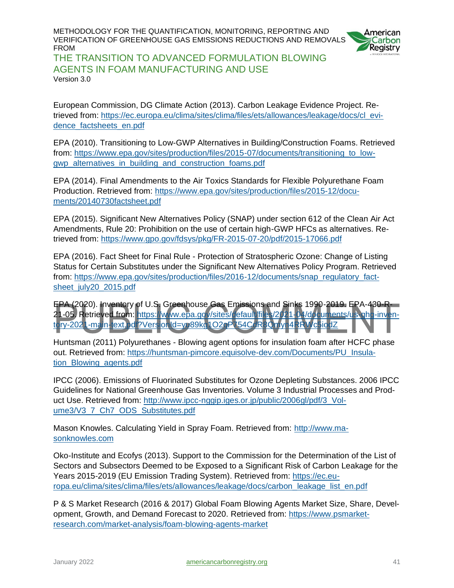

THE TRANSITION TO ADVANCED FORMULATION BLOWING AGENTS IN FOAM MANUFACTURING AND USE Version 3.0

European Commission, DG Climate Action (2013). Carbon Leakage Evidence Project. Retrieved from: [https://ec.europa.eu/clima/sites/clima/files/ets/allowances/leakage/docs/cl\\_evi](https://ec.europa.eu/clima/sites/clima/files/ets/allowances/leakage/docs/cl_evidence_factsheets_en.pdf)dence factsheets en.pdf

EPA (2010). Transitioning to Low-GWP Alternatives in Building/Construction Foams. Retrieved from: https://www.epa.gov/sites/production/files/2015-07/documents/transitioning to low[gwp\\_alternatives\\_in\\_building\\_and\\_construction\\_foams.pdf](https://www.epa.gov/sites/production/files/2015-07/documents/transitioning_to_low-gwp_alternatives_in_building_and_construction_foams.pdf)

EPA (2014). Final Amendments to the Air Toxics Standards for Flexible Polyurethane Foam Production. Retrieved from: [https://www.epa.gov/sites/production/files/2015-12/docu](https://www.epa.gov/sites/production/files/2015-12/documents/20140730factsheet.pdf)[ments/20140730factsheet.pdf](https://www.epa.gov/sites/production/files/2015-12/documents/20140730factsheet.pdf)

EPA (2015). Significant New Alternatives Policy (SNAP) under section 612 of the Clean Air Act Amendments, Rule 20: Prohibition on the use of certain high-GWP HFCs as alternatives. Retrieved from:<https://www.gpo.gov/fdsys/pkg/FR-2015-07-20/pdf/2015-17066.pdf>

EPA (2016). Fact Sheet for Final Rule - Protection of Stratospheric Ozone: Change of Listing Status for Certain Substitutes under the Significant New Alternatives Policy Program. Retrieved from: [https://www.epa.gov/sites/production/files/2016-12/documents/snap\\_regulatory\\_fact](https://www.epa.gov/sites/production/files/2016-12/documents/snap_regulatory_factsheet_july20_2015.pdf)[sheet\\_july20\\_2015.pdf](https://www.epa.gov/sites/production/files/2016-12/documents/snap_regulatory_factsheet_july20_2015.pdf)

EPA (2020). Inventory of U.S. Greenhouse Gas Emissions and Sinks 1990-2019. EPA-430-R21-05. Retrieved from: [https://www.epa.gov/sites/default/files/2021-04/documents/us-ghg-inven](https://www.epa.gov/sites/default/files/2021-04/documents/us-ghg-inventory-2021-main-text.pdf?VersionId=yu89kg1O2qP754CdR8Qmyn4RRWc5iodZ)[tory-2021-main-text.pdf?VersionId=yu89kg1O2qP754CdR8Qmyn4RRWc5iodZ](https://www.epa.gov/sites/default/files/2021-04/documents/us-ghg-inventory-2021-main-text.pdf?VersionId=yu89kg1O2qP754CdR8Qmyn4RRWc5iodZ)

Huntsman (2011) Polyurethanes - Blowing agent options for insulation foam after HCFC phase out. Retrieved from: [https://huntsman-pimcore.equisolve-dev.com/Documents/PU\\_Insula](https://huntsman-pimcore.equisolve-dev.com/Documents/PU_Insulation_Blowing_agents.pdf)[tion\\_Blowing\\_agents.pdf](https://huntsman-pimcore.equisolve-dev.com/Documents/PU_Insulation_Blowing_agents.pdf)

IPCC (2006). Emissions of Fluorinated Substitutes for Ozone Depleting Substances. 2006 IPCC Guidelines for National Greenhouse Gas Inventories. Volume 3 Industrial Processes and Product Use. Retrieved from: [http://www.ipcc-nggip.iges.or.jp/public/2006gl/pdf/3\\_Vol](http://www.ipcc-nggip.iges.or.jp/public/2006gl/pdf/3_Volume3/V3_7_Ch7_ODS_Substitutes.pdf)[ume3/V3\\_7\\_Ch7\\_ODS\\_Substitutes.pdf](http://www.ipcc-nggip.iges.or.jp/public/2006gl/pdf/3_Volume3/V3_7_Ch7_ODS_Substitutes.pdf)

Mason Knowles. Calculating Yield in Spray Foam. Retrieved from: [http://www.ma](http://www.masonknowles.com/docs/calculating_yield_in_sprayfoam.pdf)[sonknowles.com](http://www.masonknowles.com/docs/calculating_yield_in_sprayfoam.pdf)

Oko-Institute and Ecofys (2013). Support to the Commission for the Determination of the List of Sectors and Subsectors Deemed to be Exposed to a Significant Risk of Carbon Leakage for the Years 2015-2019 (EU Emission Trading System). Retrieved from: [https://ec.eu](https://ec.europa.eu/clima/sites/clima/files/ets/allowances/leakage/docs/carbon_leakage_list_en.pdf)[ropa.eu/clima/sites/clima/files/ets/allowances/leakage/docs/carbon\\_leakage\\_list\\_en.pdf](https://ec.europa.eu/clima/sites/clima/files/ets/allowances/leakage/docs/carbon_leakage_list_en.pdf)

P & S Market Research (2016 & 2017) Global Foam Blowing Agents Market Size, Share, Development, Growth, and Demand Forecast to 2020. Retrieved from: [https://www.psmarket](https://www.psmarketresearch.com/market-analysis/foam-blowing-agents-market)[research.com/market-analysis/foam-blowing-agents-market](https://www.psmarketresearch.com/market-analysis/foam-blowing-agents-market)